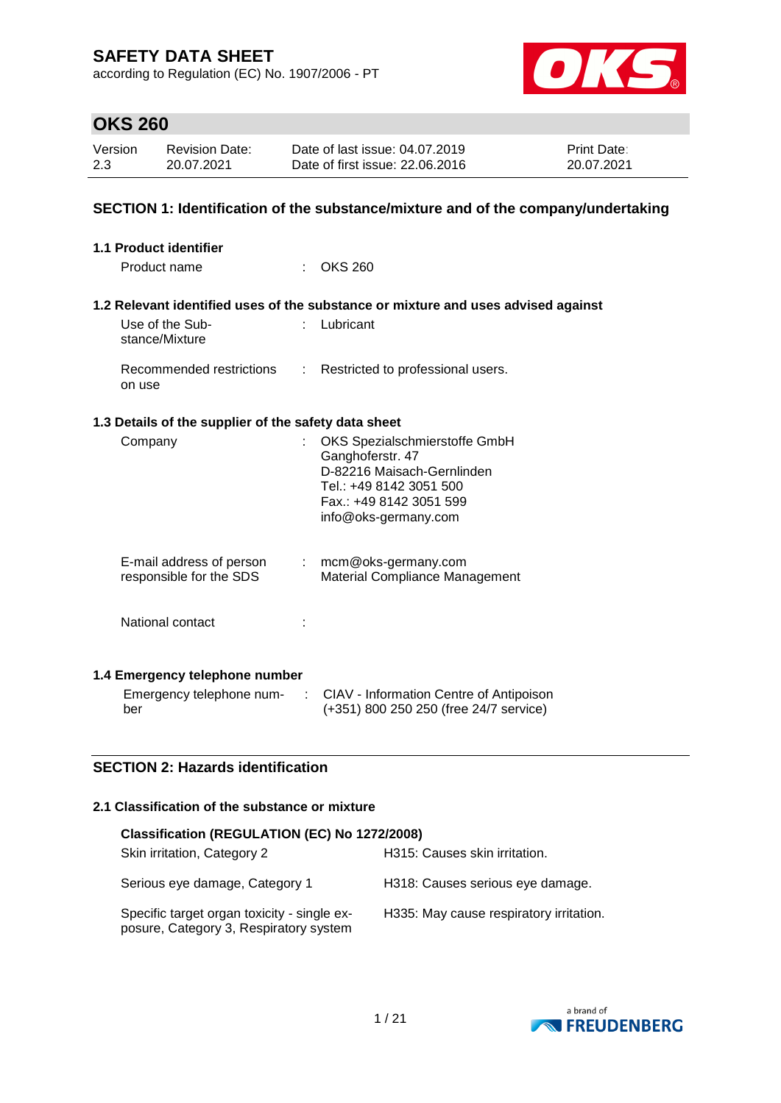according to Regulation (EC) No. 1907/2006 - PT



# **OKS 260**

| Version | Revision Date: | Date of last issue: 04.07.2019  | <b>Print Date:</b> |
|---------|----------------|---------------------------------|--------------------|
| 2.3     | 20.07.2021     | Date of first issue: 22,06,2016 | 20.07.2021         |

### **SECTION 1: Identification of the substance/mixture and of the company/undertaking**

| <b>1.1 Product identifier</b>                        |          |                                                                                   |
|------------------------------------------------------|----------|-----------------------------------------------------------------------------------|
| Product name                                         |          | <b>OKS 260</b>                                                                    |
|                                                      |          |                                                                                   |
|                                                      |          | 1.2 Relevant identified uses of the substance or mixture and uses advised against |
| Use of the Sub-<br>stance/Mixture                    |          | : Lubricant                                                                       |
| Recommended restrictions<br>on use                   | t.       | Restricted to professional users.                                                 |
| 1.3 Details of the supplier of the safety data sheet |          |                                                                                   |
| Company                                              |          | OKS Spezialschmierstoffe GmbH<br>Ganghoferstr. 47                                 |
|                                                      |          | D-82216 Maisach-Gernlinden                                                        |
|                                                      |          | Tel.: +49 8142 3051 500                                                           |
|                                                      |          | Fax.: +49 8142 3051 599<br>info@oks-germany.com                                   |
|                                                      |          |                                                                                   |
| E-mail address of person                             |          | $:$ mcm@oks-germany.com                                                           |
| responsible for the SDS                              |          | Material Compliance Management                                                    |
|                                                      |          |                                                                                   |
| National contact                                     |          |                                                                                   |
|                                                      |          |                                                                                   |
| 1.4 Emergency telephone number                       |          |                                                                                   |
| Emergency telephone num-                             | $\sim$ 1 | CIAV - Information Centre of Antipoison                                           |
| ber                                                  |          | (+351) 800 250 250 (free 24/7 service)                                            |

### **SECTION 2: Hazards identification**

#### **2.1 Classification of the substance or mixture**

| Classification (REGULATION (EC) No 1272/2008)                                         |                                         |  |  |  |  |
|---------------------------------------------------------------------------------------|-----------------------------------------|--|--|--|--|
| Skin irritation, Category 2                                                           | H315: Causes skin irritation.           |  |  |  |  |
| Serious eye damage, Category 1                                                        | H318: Causes serious eye damage.        |  |  |  |  |
| Specific target organ toxicity - single ex-<br>posure, Category 3, Respiratory system | H335: May cause respiratory irritation. |  |  |  |  |

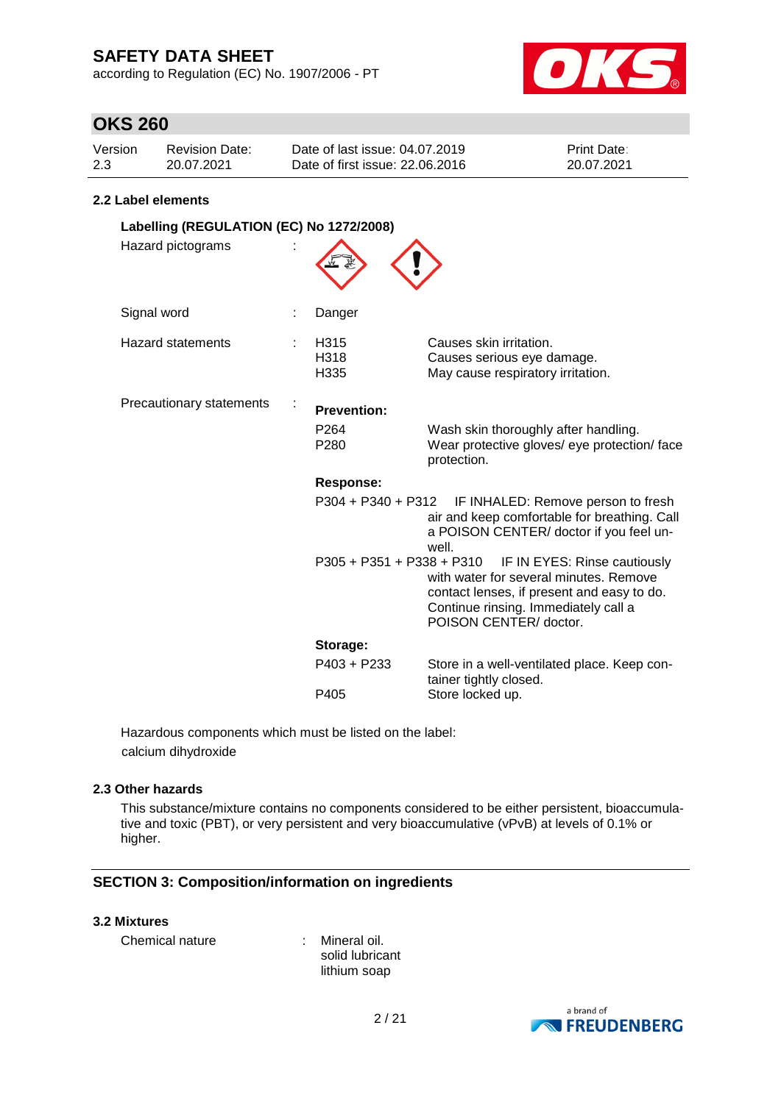according to Regulation (EC) No. 1907/2006 - PT



### **OKS 260**

| Version | Revision Date: | Date of last issue: 04.07.2019  | <b>Print Date:</b> |
|---------|----------------|---------------------------------|--------------------|
| 2.3     | 20.07.2021     | Date of first issue: 22.06.2016 | 20.07.2021         |

#### **2.2 Label elements**

| Labelling (REGULATION (EC) No 1272/2008) |  |                             |                                                                                                                                                                                        |  |
|------------------------------------------|--|-----------------------------|----------------------------------------------------------------------------------------------------------------------------------------------------------------------------------------|--|
| Hazard pictograms                        |  |                             |                                                                                                                                                                                        |  |
| Signal word                              |  | Danger                      |                                                                                                                                                                                        |  |
| <b>Hazard statements</b>                 |  | H315<br>H318<br>H335        | Causes skin irritation.<br>Causes serious eye damage.<br>May cause respiratory irritation.                                                                                             |  |
| Precautionary statements                 |  | <b>Prevention:</b>          |                                                                                                                                                                                        |  |
|                                          |  | P <sub>264</sub><br>P280    | Wash skin thoroughly after handling.<br>Wear protective gloves/ eye protection/ face<br>protection.                                                                                    |  |
|                                          |  | <b>Response:</b>            |                                                                                                                                                                                        |  |
|                                          |  | P304 + P340 + P312          | IF INHALED: Remove person to fresh<br>air and keep comfortable for breathing. Call<br>a POISON CENTER/ doctor if you feel un-<br>well.                                                 |  |
|                                          |  | $P305 + P351 + P338 + P310$ | IF IN EYES: Rinse cautiously<br>with water for several minutes. Remove<br>contact lenses, if present and easy to do.<br>Continue rinsing. Immediately call a<br>POISON CENTER/ doctor. |  |
|                                          |  | Storage:                    |                                                                                                                                                                                        |  |
|                                          |  | P403 + P233                 | Store in a well-ventilated place. Keep con-<br>tainer tightly closed.                                                                                                                  |  |
|                                          |  | P405                        | Store locked up.                                                                                                                                                                       |  |

Hazardous components which must be listed on the label: calcium dihydroxide

#### **2.3 Other hazards**

This substance/mixture contains no components considered to be either persistent, bioaccumulative and toxic (PBT), or very persistent and very bioaccumulative (vPvB) at levels of 0.1% or higher.

### **SECTION 3: Composition/information on ingredients**

#### **3.2 Mixtures**

Chemical nature : Mineral oil.

solid lubricant lithium soap

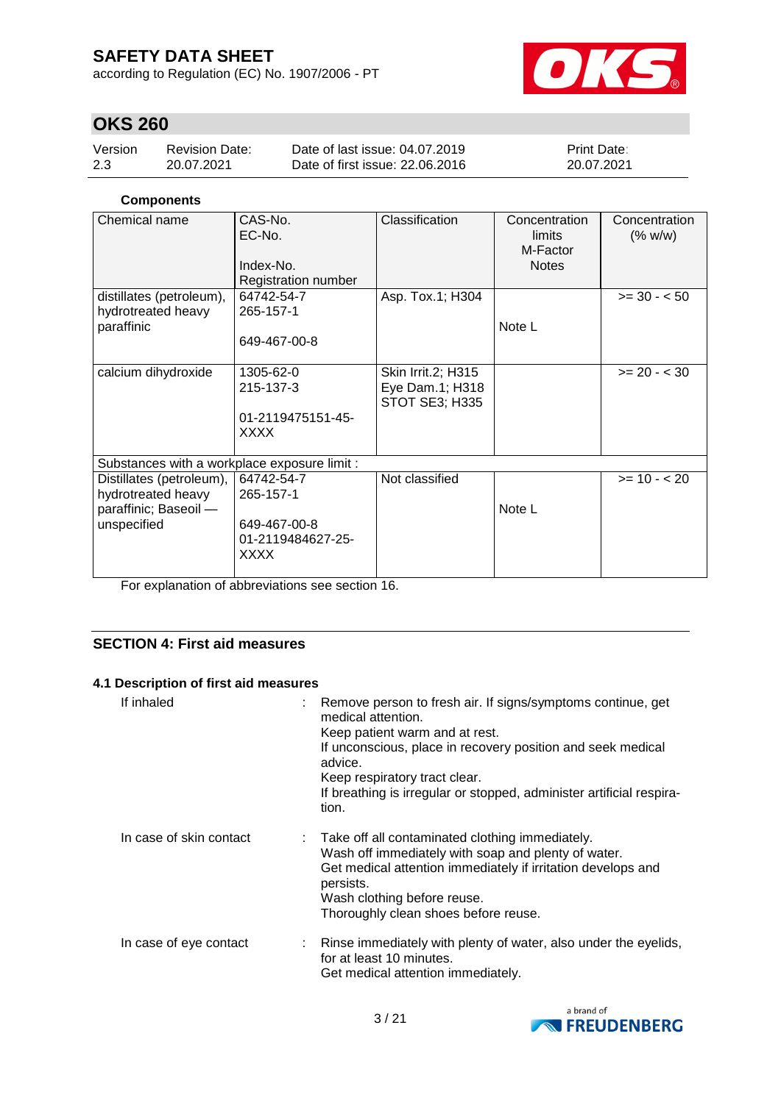according to Regulation (EC) No. 1907/2006 - PT



## **OKS 260**

| Version | Revision Date: | Date of last issue: 04.07.2019  | <b>Print Date:</b> |
|---------|----------------|---------------------------------|--------------------|
| 2.3     | 20.07.2021     | Date of first issue: 22,06,2016 | 20.07.2021         |

### **Components**

| Chemical name                                                                          | CAS-No.<br>EC-No.<br>Index-No.<br>Registration number                       | Classification                                                 | Concentration<br>limits<br>M-Factor<br><b>Notes</b> | Concentration<br>(% w/w) |
|----------------------------------------------------------------------------------------|-----------------------------------------------------------------------------|----------------------------------------------------------------|-----------------------------------------------------|--------------------------|
| distillates (petroleum),                                                               | 64742-54-7                                                                  | Asp. Tox.1; H304                                               |                                                     | $>= 30 - 50$             |
| hydrotreated heavy<br>paraffinic                                                       | 265-157-1<br>649-467-00-8                                                   |                                                                | Note L                                              |                          |
| calcium dihydroxide                                                                    | 1305-62-0<br>215-137-3<br>01-2119475151-45-<br><b>XXXX</b>                  | Skin Irrit.2; H315<br>Eye Dam.1; H318<br><b>STOT SE3; H335</b> |                                                     | $>= 20 - < 30$           |
| Substances with a workplace exposure limit :                                           |                                                                             |                                                                |                                                     |                          |
| Distillates (petroleum),<br>hydrotreated heavy<br>paraffinic; Baseoil -<br>unspecified | 64742-54-7<br>265-157-1<br>649-467-00-8<br>01-2119484627-25-<br><b>XXXX</b> | Not classified                                                 | Note L                                              | $>= 10 - 20$             |

For explanation of abbreviations see section 16.

### **SECTION 4: First aid measures**

### **4.1 Description of first aid measures**

| If inhaled              | Remove person to fresh air. If signs/symptoms continue, get<br>medical attention.<br>Keep patient warm and at rest.<br>If unconscious, place in recovery position and seek medical<br>advice.<br>Keep respiratory tract clear.<br>If breathing is irregular or stopped, administer artificial respira-<br>tion. |
|-------------------------|-----------------------------------------------------------------------------------------------------------------------------------------------------------------------------------------------------------------------------------------------------------------------------------------------------------------|
| In case of skin contact | : Take off all contaminated clothing immediately.<br>Wash off immediately with soap and plenty of water.<br>Get medical attention immediately if irritation develops and<br>persists.<br>Wash clothing before reuse.<br>Thoroughly clean shoes before reuse.                                                    |
| In case of eye contact  | Rinse immediately with plenty of water, also under the eyelids,<br>for at least 10 minutes.<br>Get medical attention immediately.                                                                                                                                                                               |

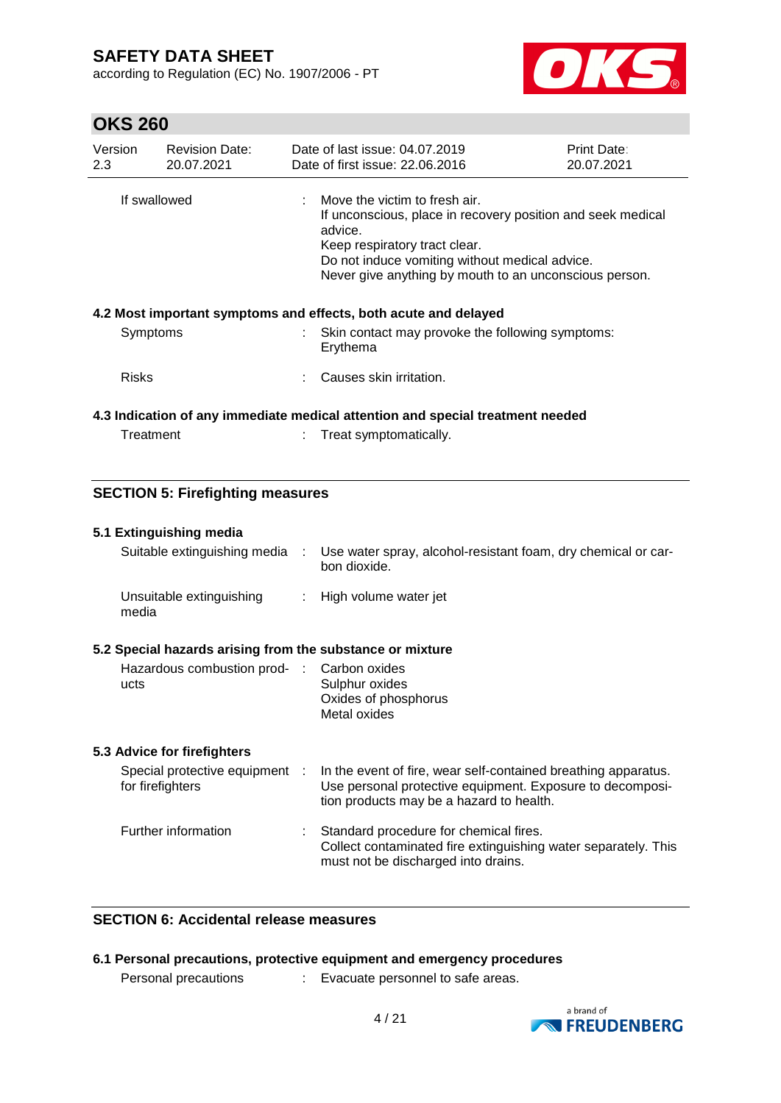according to Regulation (EC) No. 1907/2006 - PT



### **OKS 260**

| Version<br>2.3 | <b>Revision Date:</b><br>20.07.2021 | Date of last issue: 04.07.2019<br>Date of first issue: 22.06.2016                                                                                                                                                                                                 | <b>Print Date:</b><br>20.07.2021 |
|----------------|-------------------------------------|-------------------------------------------------------------------------------------------------------------------------------------------------------------------------------------------------------------------------------------------------------------------|----------------------------------|
| If swallowed   |                                     | $\therefore$ Move the victim to fresh air.<br>If unconscious, place in recovery position and seek medical<br>advice.<br>Keep respiratory tract clear.<br>Do not induce vomiting without medical advice.<br>Never give anything by mouth to an unconscious person. |                                  |
|                |                                     | 4.2 Most important symptoms and effects, both acute and delayed                                                                                                                                                                                                   |                                  |
| Symptoms       |                                     | $\therefore$ Skin contact may provoke the following symptoms:<br>Erythema                                                                                                                                                                                         |                                  |
| <b>Risks</b>   |                                     | Causes skin irritation.                                                                                                                                                                                                                                           |                                  |
|                |                                     | 4.3 Indication of any immediate medical attention and special treatment needed                                                                                                                                                                                    |                                  |
| Treatment      |                                     | Treat symptomatically.                                                                                                                                                                                                                                            |                                  |

### **SECTION 5: Firefighting measures**

#### **5.1 Extinguishing media**

| Suitable extinguishing media      | Use water spray, alcohol-resistant foam, dry chemical or car-<br>bon dioxide. |
|-----------------------------------|-------------------------------------------------------------------------------|
| Unsuitable extinguishing<br>media | $\therefore$ High volume water jet                                            |

### **5.2 Special hazards arising from the substance or mixture**

| Hazardous combustion prod- : Carbon oxides |
|--------------------------------------------|
| Sulphur oxides                             |
| Oxides of phosphorus                       |
| Metal oxides                               |
|                                            |

#### **5.3 Advice for firefighters**

| Special protective equipment :<br>for firefighters | In the event of fire, wear self-contained breathing apparatus.<br>Use personal protective equipment. Exposure to decomposi-<br>tion products may be a hazard to health. |
|----------------------------------------------------|-------------------------------------------------------------------------------------------------------------------------------------------------------------------------|
| Further information                                | Standard procedure for chemical fires.<br>Collect contaminated fire extinguishing water separately. This<br>must not be discharged into drains.                         |

### **SECTION 6: Accidental release measures**

### **6.1 Personal precautions, protective equipment and emergency procedures**

Personal precautions : Evacuate personnel to safe areas.

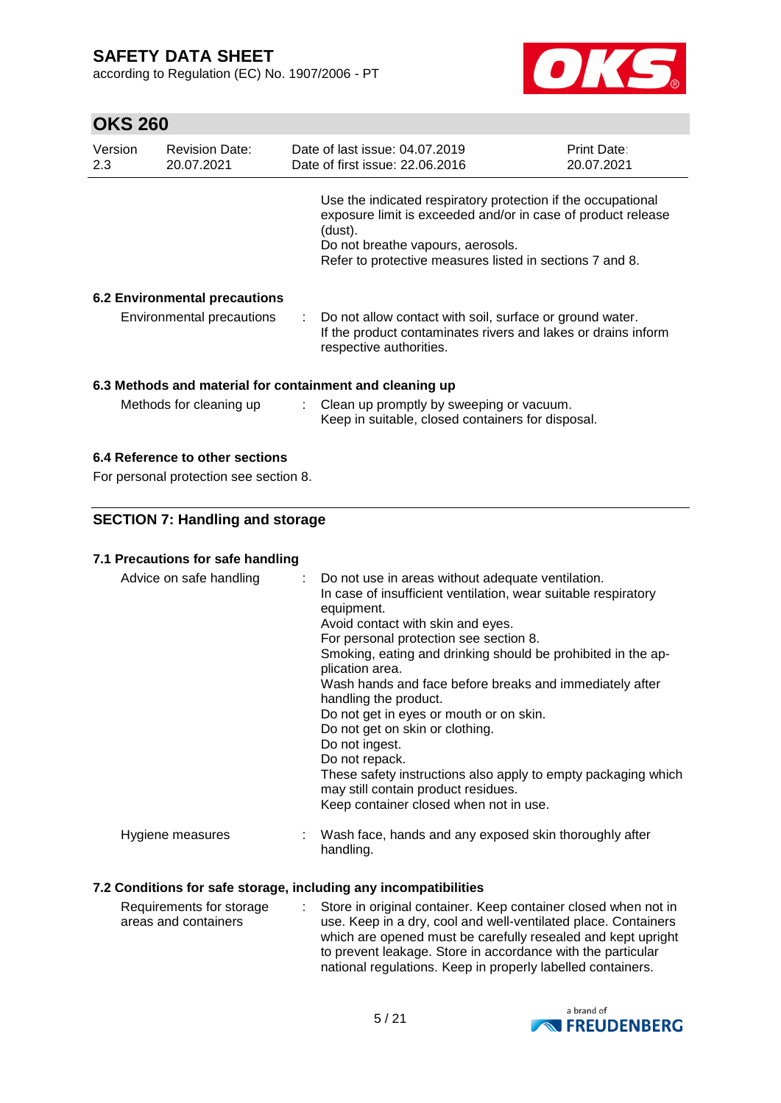according to Regulation (EC) No. 1907/2006 - PT



# **OKS 260**

| Version<br><b>Revision Date:</b><br>2.3<br>20.07.2021    |                                      |  | Date of last issue: 04.07.2019<br>Date of first issue: 22.06.2016                                                                                                                                                                        | Print Date:<br>20.07.2021 |  |  |
|----------------------------------------------------------|--------------------------------------|--|------------------------------------------------------------------------------------------------------------------------------------------------------------------------------------------------------------------------------------------|---------------------------|--|--|
|                                                          |                                      |  | Use the indicated respiratory protection if the occupational<br>exposure limit is exceeded and/or in case of product release<br>(dust).<br>Do not breathe vapours, aerosols.<br>Refer to protective measures listed in sections 7 and 8. |                           |  |  |
|                                                          | <b>6.2 Environmental precautions</b> |  |                                                                                                                                                                                                                                          |                           |  |  |
|                                                          | Environmental precautions            |  | : Do not allow contact with soil, surface or ground water.<br>If the product contaminates rivers and lakes or drains inform<br>respective authorities.                                                                                   |                           |  |  |
| 6.3 Methods and material for containment and cleaning up |                                      |  |                                                                                                                                                                                                                                          |                           |  |  |
|                                                          | Methods for cleaning up              |  | : Clean up promptly by sweeping or vacuum.<br>Keep in suitable, closed containers for disposal.                                                                                                                                          |                           |  |  |

### **6.4 Reference to other sections**

For personal protection see section 8.

### **SECTION 7: Handling and storage**

### **7.1 Precautions for safe handling**

| Advice on safe handling | : Do not use in areas without adequate ventilation.<br>In case of insufficient ventilation, wear suitable respiratory<br>equipment.<br>Avoid contact with skin and eyes.<br>For personal protection see section 8.<br>Smoking, eating and drinking should be prohibited in the ap-<br>plication area.<br>Wash hands and face before breaks and immediately after<br>handling the product.<br>Do not get in eyes or mouth or on skin.<br>Do not get on skin or clothing.<br>Do not ingest.<br>Do not repack.<br>These safety instructions also apply to empty packaging which<br>may still contain product residues.<br>Keep container closed when not in use. |
|-------------------------|---------------------------------------------------------------------------------------------------------------------------------------------------------------------------------------------------------------------------------------------------------------------------------------------------------------------------------------------------------------------------------------------------------------------------------------------------------------------------------------------------------------------------------------------------------------------------------------------------------------------------------------------------------------|
| Hygiene measures        | Wash face, hands and any exposed skin thoroughly after<br>handling.                                                                                                                                                                                                                                                                                                                                                                                                                                                                                                                                                                                           |

#### **7.2 Conditions for safe storage, including any incompatibilities**

| Requirements for storage | : Store in original container. Keep container closed when not in |
|--------------------------|------------------------------------------------------------------|
| areas and containers     | use. Keep in a dry, cool and well-ventilated place. Containers   |
|                          | which are opened must be carefully resealed and kept upright     |
|                          | to prevent leakage. Store in accordance with the particular      |
|                          | national regulations. Keep in properly labelled containers.      |

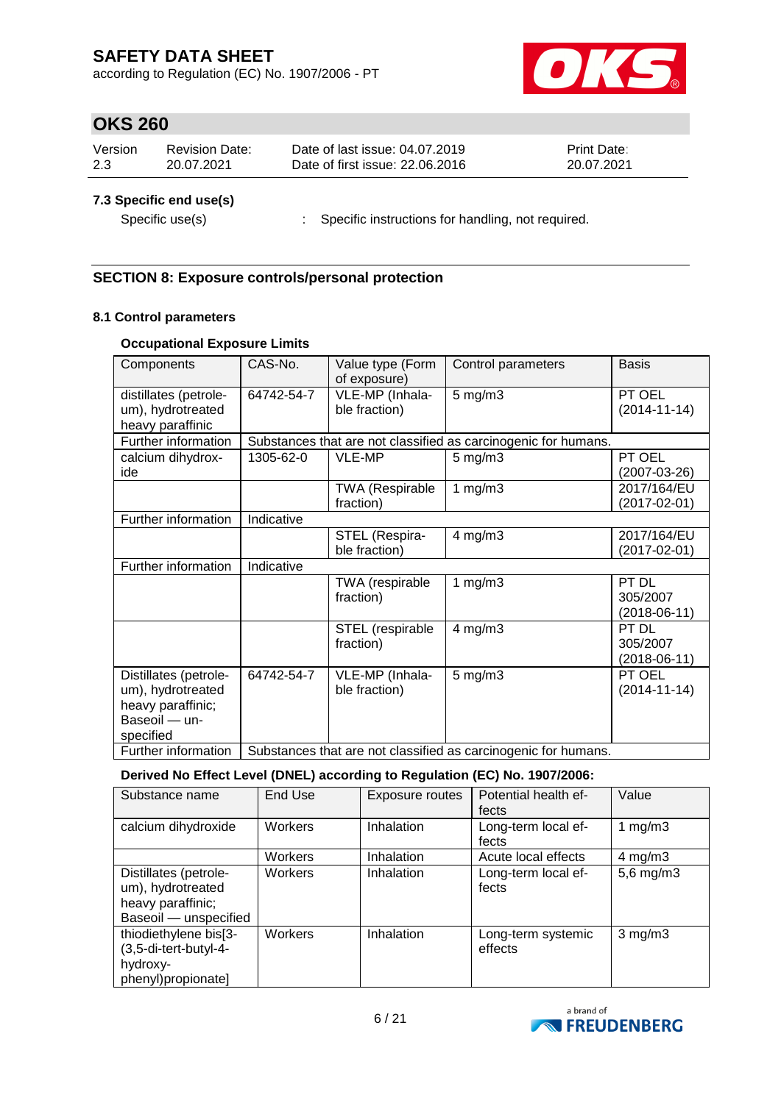according to Regulation (EC) No. 1907/2006 - PT



### **OKS 260**

| Version | <b>Revision Date:</b> | Date of last issue: 04.07.2019  | <b>Print Date:</b> |
|---------|-----------------------|---------------------------------|--------------------|
| 2.3     | 20.07.2021            | Date of first issue: 22,06,2016 | 20.07.2021         |
|         |                       |                                 |                    |

### **7.3 Specific end use(s)**

Specific use(s) : Specific instructions for handling, not required.

### **SECTION 8: Exposure controls/personal protection**

### **8.1 Control parameters**

### **Occupational Exposure Limits**

| Components                                                                                    | CAS-No.                                                        | Value type (Form<br>of exposure)    | Control parameters                                             | <b>Basis</b>                        |
|-----------------------------------------------------------------------------------------------|----------------------------------------------------------------|-------------------------------------|----------------------------------------------------------------|-------------------------------------|
| distillates (petrole-<br>um), hydrotreated<br>heavy paraffinic                                | 64742-54-7                                                     | VLE-MP (Inhala-<br>ble fraction)    | $5$ mg/m $3$                                                   | PT OEL<br>$(2014 - 11 - 14)$        |
| Further information                                                                           |                                                                |                                     | Substances that are not classified as carcinogenic for humans. |                                     |
| calcium dihydrox-<br>ide                                                                      | 1305-62-0                                                      | VLE-MP                              | $5$ mg/m $3$                                                   | PT OEL<br>$(2007 - 03 - 26)$        |
|                                                                                               |                                                                | <b>TWA (Respirable</b><br>fraction) | 1 $mg/m3$                                                      | 2017/164/EU<br>$(2017 - 02 - 01)$   |
| Further information                                                                           | Indicative                                                     |                                     |                                                                |                                     |
|                                                                                               |                                                                | STEL (Respira-<br>ble fraction)     | $4$ mg/m $3$                                                   | 2017/164/EU<br>(2017-02-01)         |
| Further information                                                                           | Indicative                                                     |                                     |                                                                |                                     |
|                                                                                               |                                                                | TWA (respirable<br>fraction)        | 1 $mg/m3$                                                      | PT DL<br>305/2007<br>$(2018-06-11)$ |
|                                                                                               |                                                                | STEL (respirable<br>fraction)       | $4$ mg/m $3$                                                   | PT DL<br>305/2007<br>$(2018-06-11)$ |
| Distillates (petrole-<br>um), hydrotreated<br>heavy paraffinic;<br>Baseoil - un-<br>specified | 64742-54-7                                                     | VLE-MP (Inhala-<br>ble fraction)    | $5$ mg/m $3$                                                   | PT OEL<br>$(2014 - 11 - 14)$        |
| Further information                                                                           | Substances that are not classified as carcinogenic for humans. |                                     |                                                                |                                     |

### **Derived No Effect Level (DNEL) according to Regulation (EC) No. 1907/2006:**

| Substance name                                                                           | End Use | Exposure routes | Potential health ef-<br>fects | Value          |
|------------------------------------------------------------------------------------------|---------|-----------------|-------------------------------|----------------|
| calcium dihydroxide                                                                      | Workers | Inhalation      | Long-term local ef-<br>fects  | 1 $mg/m3$      |
|                                                                                          | Workers | Inhalation      | Acute local effects           | 4 mg/m $3$     |
| Distillates (petrole-<br>um), hydrotreated<br>heavy paraffinic;<br>Baseoil - unspecified | Workers | Inhalation      | Long-term local ef-<br>fects  | $5,6$ mg/m $3$ |
| thiodiethylene bis[3-<br>(3,5-di-tert-butyl-4-<br>hydroxy-<br>phenyl)propionate]         | Workers | Inhalation      | Long-term systemic<br>effects | $3$ mg/m $3$   |

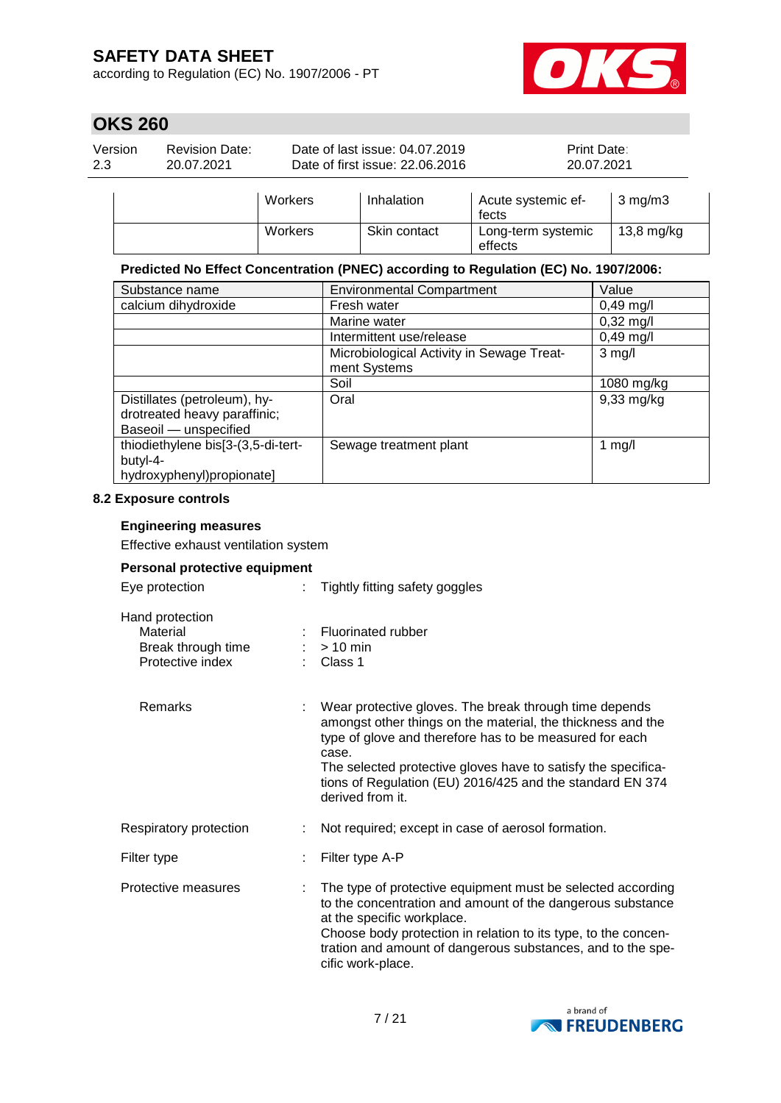according to Regulation (EC) No. 1907/2006 - PT



# **OKS 260**

| Version | <b>Revision Date:</b> | Date of last issue: 04.07.2019  | <b>Print Date:</b> |
|---------|-----------------------|---------------------------------|--------------------|
| 2.3     | 20.07.2021            | Date of first issue: 22,06,2016 | 20.07.2021         |
|         |                       |                                 |                    |

| Workers | Inhalation   | Acute systemic ef-<br>fects   | $3 \text{ mg/m}$     |
|---------|--------------|-------------------------------|----------------------|
| Workers | Skin contact | Long-term systemic<br>effects | $13,8 \text{ mg/kg}$ |

#### **Predicted No Effect Concentration (PNEC) according to Regulation (EC) No. 1907/2006:**

| Substance name                     | <b>Environmental Compartment</b>          | Value                  |
|------------------------------------|-------------------------------------------|------------------------|
| calcium dihydroxide                | Fresh water                               | $0,49 \,\mathrm{mg/l}$ |
|                                    | Marine water                              | $0,32 \text{ mg/l}$    |
|                                    | Intermittent use/release                  | $0,49$ mg/l            |
|                                    | Microbiological Activity in Sewage Treat- | $3$ mg/l               |
|                                    | ment Systems                              |                        |
|                                    | Soil                                      | 1080 mg/kg             |
| Distillates (petroleum), hy-       | Oral                                      | $9,33$ mg/kg           |
| drotreated heavy paraffinic;       |                                           |                        |
| Baseoil - unspecified              |                                           |                        |
| thiodiethylene bis[3-(3,5-di-tert- | Sewage treatment plant                    | 1 $mg/l$               |
| butyl-4-                           |                                           |                        |
| hydroxyphenyl)propionate]          |                                           |                        |

#### **8.2 Exposure controls**

#### **Engineering measures**

Effective exhaust ventilation system

#### **Personal protective equipment**

| Eye protection                                                        | t. | Tightly fitting safety goggles                                                                                                                                                                                                                                                                                                              |
|-----------------------------------------------------------------------|----|---------------------------------------------------------------------------------------------------------------------------------------------------------------------------------------------------------------------------------------------------------------------------------------------------------------------------------------------|
| Hand protection<br>Material<br>Break through time<br>Protective index |    | Fluorinated rubber<br>$> 10$ min<br>$\therefore$ Class 1                                                                                                                                                                                                                                                                                    |
| <b>Remarks</b>                                                        |    | Wear protective gloves. The break through time depends<br>amongst other things on the material, the thickness and the<br>type of glove and therefore has to be measured for each<br>case.<br>The selected protective gloves have to satisfy the specifica-<br>tions of Regulation (EU) 2016/425 and the standard EN 374<br>derived from it. |
| Respiratory protection                                                |    | Not required; except in case of aerosol formation.                                                                                                                                                                                                                                                                                          |
| Filter type                                                           |    | Filter type A-P                                                                                                                                                                                                                                                                                                                             |
| Protective measures                                                   |    | The type of protective equipment must be selected according<br>to the concentration and amount of the dangerous substance<br>at the specific workplace.<br>Choose body protection in relation to its type, to the concen-<br>tration and amount of dangerous substances, and to the spe-<br>cific work-place.                               |

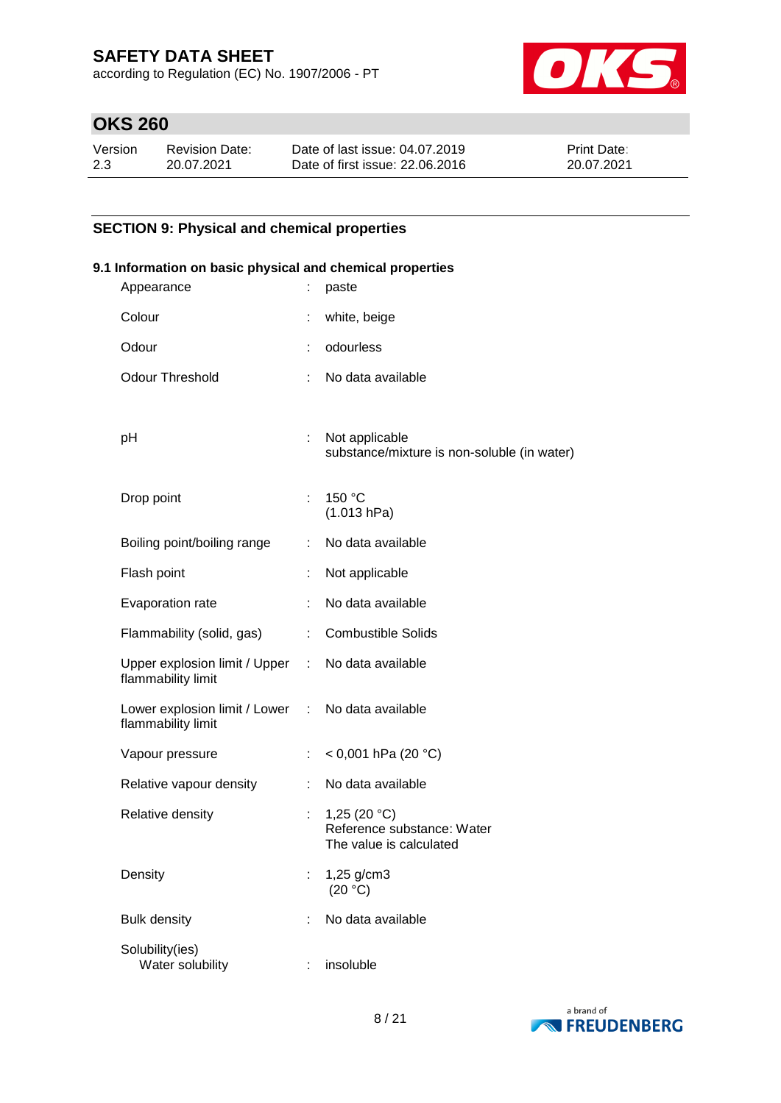according to Regulation (EC) No. 1907/2006 - PT



# **OKS 260**

| Version | Revision Date: | Date of last issue: 04.07.2019  | <b>Print Date:</b> |
|---------|----------------|---------------------------------|--------------------|
| 2.3     | 20.07.2021     | Date of first issue: 22,06,2016 | 20.07.2021         |

### **SECTION 9: Physical and chemical properties**

# **9.1 Information on basic physical and chemical properties** Appearance : paste Colour : white, beige Odour : odourless Odour Threshold : No data available pH : Not applicable substance/mixture is non-soluble (in water) Drop point : 150 °C (1.013 hPa) Boiling point/boiling range : No data available Flash point : Not applicable Evaporation rate : No data available Flammability (solid, gas) : Combustible Solids Upper explosion limit / Upper flammability limit : No data available Lower explosion limit / Lower : No data available flammability limit Vapour pressure : < 0,001 hPa (20 °C) Relative vapour density : No data available Relative density : 1,25 (20 °C) Reference substance: Water The value is calculated Density : 1,25 g/cm3  $(20 °C)$ Bulk density **in the case of the case of the case of the case of the case of the case of the case of the case of the case of the case of the case of the case of the case of the case of the case of the case of the case of t** Solubility(ies) Water solubility insoluble

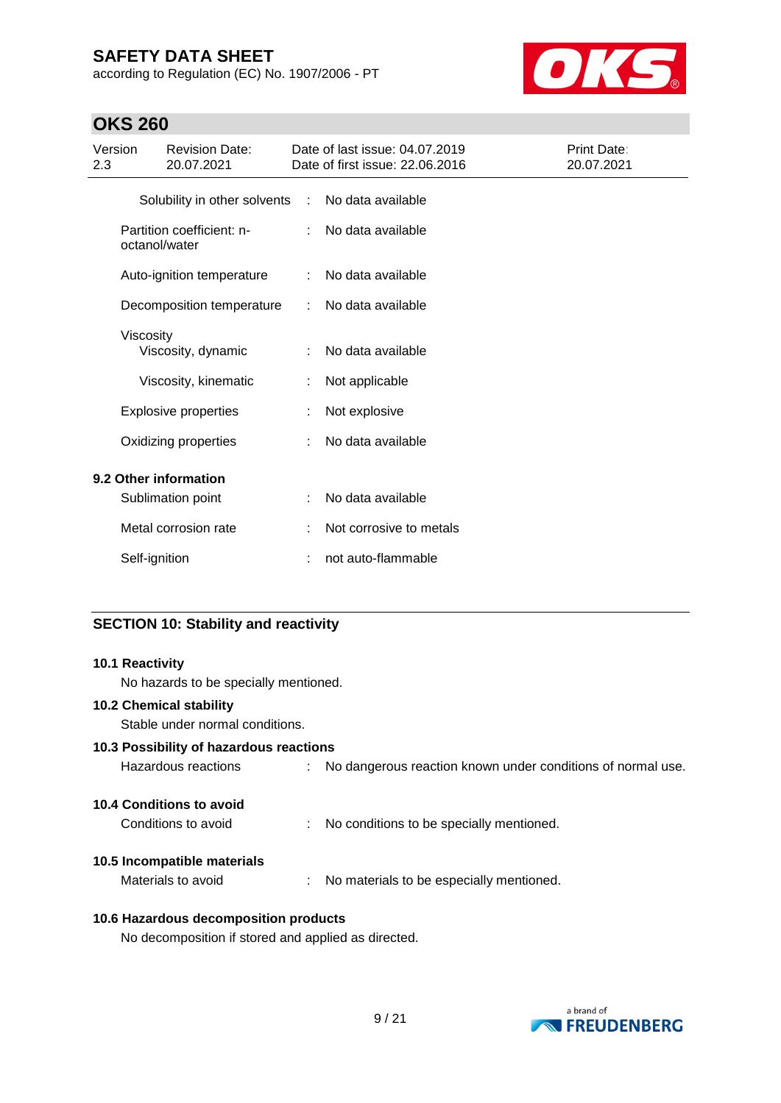according to Regulation (EC) No. 1907/2006 - PT



# **OKS 260**

| Version<br>2.3 |               | <b>Revision Date:</b><br>20.07.2021 |                             | Date of last issue: 04.07.2019<br>Date of first issue: 22.06.2016 | Print Date:<br>20.07.2021 |
|----------------|---------------|-------------------------------------|-----------------------------|-------------------------------------------------------------------|---------------------------|
|                |               | Solubility in other solvents        | $\mathcal{L}^{\mathcal{A}}$ | No data available                                                 |                           |
|                | octanol/water | Partition coefficient: n-           |                             | No data available                                                 |                           |
|                |               | Auto-ignition temperature           | ÷                           | No data available                                                 |                           |
|                |               | Decomposition temperature           |                             | No data available                                                 |                           |
|                | Viscosity     | Viscosity, dynamic                  | ÷                           | No data available                                                 |                           |
|                |               | Viscosity, kinematic                | ÷                           | Not applicable                                                    |                           |
|                |               | <b>Explosive properties</b>         |                             | Not explosive                                                     |                           |
|                |               | Oxidizing properties                |                             | No data available                                                 |                           |
|                |               | 9.2 Other information               |                             |                                                                   |                           |
|                |               | Sublimation point                   | ÷                           | No data available                                                 |                           |
|                |               | Metal corrosion rate                |                             | Not corrosive to metals                                           |                           |
|                | Self-ignition |                                     | ÷                           | not auto-flammable                                                |                           |

### **SECTION 10: Stability and reactivity**

| <b>10.1 Reactivity</b><br>No hazards to be specially mentioned.   |                                                               |
|-------------------------------------------------------------------|---------------------------------------------------------------|
| <b>10.2 Chemical stability</b><br>Stable under normal conditions. |                                                               |
| 10.3 Possibility of hazardous reactions                           |                                                               |
| Hazardous reactions                                               | : No dangerous reaction known under conditions of normal use. |
| <b>10.4 Conditions to avoid</b>                                   |                                                               |
| Conditions to avoid                                               | : No conditions to be specially mentioned.                    |
| 10.5 Incompatible materials                                       |                                                               |
| Materials to avoid                                                | : No materials to be especially mentioned.                    |
|                                                                   |                                                               |

### **10.6 Hazardous decomposition products**

No decomposition if stored and applied as directed.

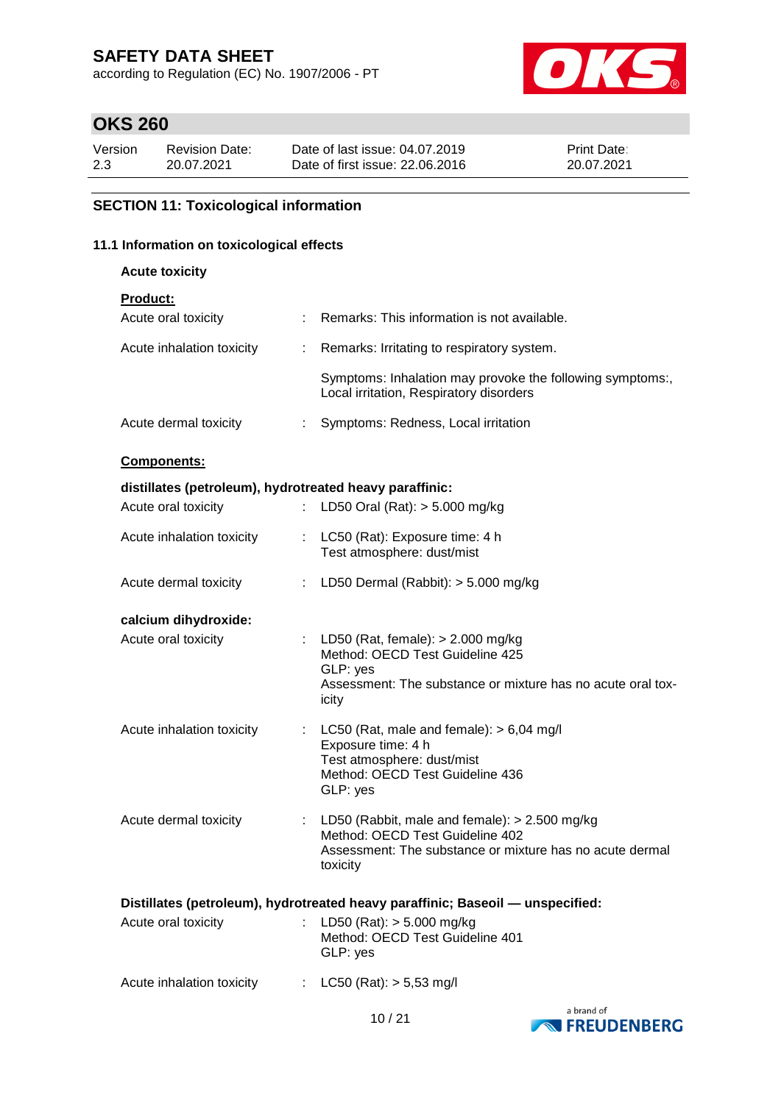according to Regulation (EC) No. 1907/2006 - PT



### **OKS 260**

| Version | Revision Date: | Date of last issue: 04.07.2019  | <b>Print Date:</b> |
|---------|----------------|---------------------------------|--------------------|
| 2.3     | 20.07.2021     | Date of first issue: 22,06,2016 | 20.07.2021         |

### **SECTION 11: Toxicological information**

### **11.1 Information on toxicological effects**

**Acute toxicity**

| <b>ACUTE TOXICITY</b>                                   |                             |                                                                                                                                                            |
|---------------------------------------------------------|-----------------------------|------------------------------------------------------------------------------------------------------------------------------------------------------------|
| <b>Product:</b>                                         |                             |                                                                                                                                                            |
| Acute oral toxicity                                     |                             | Remarks: This information is not available.                                                                                                                |
| Acute inhalation toxicity                               | $\mathbb{R}^n$              | Remarks: Irritating to respiratory system.                                                                                                                 |
|                                                         |                             | Symptoms: Inhalation may provoke the following symptoms:,<br>Local irritation, Respiratory disorders                                                       |
| Acute dermal toxicity                                   |                             | Symptoms: Redness, Local irritation                                                                                                                        |
| Components:                                             |                             |                                                                                                                                                            |
| distillates (petroleum), hydrotreated heavy paraffinic: |                             |                                                                                                                                                            |
| Acute oral toxicity                                     | $\mathcal{D}^{\mathcal{A}}$ | LD50 Oral (Rat): $> 5.000$ mg/kg                                                                                                                           |
| Acute inhalation toxicity                               | ÷                           | LC50 (Rat): Exposure time: 4 h<br>Test atmosphere: dust/mist                                                                                               |
| Acute dermal toxicity                                   |                             | : LD50 Dermal (Rabbit): $>$ 5.000 mg/kg                                                                                                                    |
| calcium dihydroxide:                                    |                             |                                                                                                                                                            |
| Acute oral toxicity                                     | ÷                           | LD50 (Rat, female): $> 2.000$ mg/kg<br>Method: OECD Test Guideline 425<br>GLP: yes<br>Assessment: The substance or mixture has no acute oral tox-<br>icity |

Acute inhalation toxicity : LC50 (Rat, male and female): > 6,04 mg/l Exposure time: 4 h Test atmosphere: dust/mist Method: OECD Test Guideline 436 GLP: yes Acute dermal toxicity : LD50 (Rabbit, male and female): > 2.500 mg/kg Method: OECD Test Guideline 402 Assessment: The substance or mixture has no acute dermal toxicity

| Distillates (petroleum), hydrotreated heavy paraffinic; Baseoil — unspecified: |  |                                                                              |  |  |
|--------------------------------------------------------------------------------|--|------------------------------------------------------------------------------|--|--|
| Acute oral toxicity                                                            |  | : LD50 (Rat): $>$ 5.000 mg/kg<br>Method: OECD Test Guideline 401<br>GLP: yes |  |  |
| Acute inhalation toxicity                                                      |  | : $LC50$ (Rat): $> 5.53$ mg/l                                                |  |  |

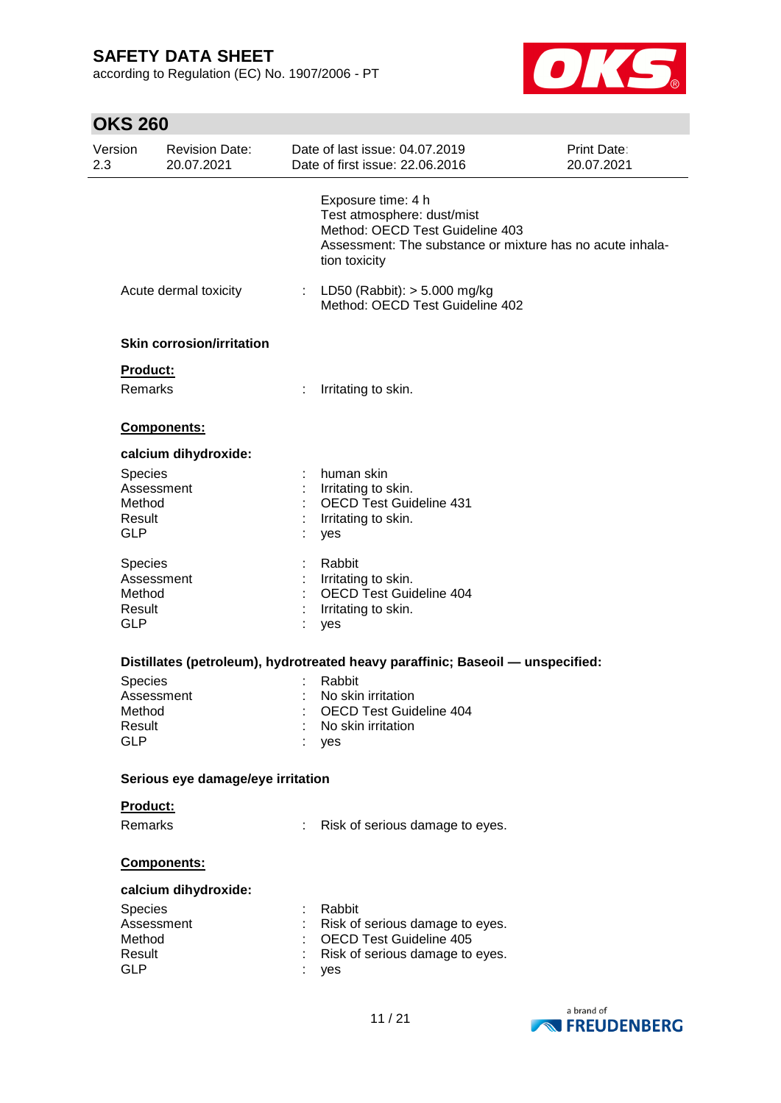according to Regulation (EC) No. 1907/2006 - PT



# **OKS 260**

| Version<br>2.3                 | <b>Revision Date:</b><br>20.07.2021 | Date of last issue: 04.07.2019<br>Date of first issue: 22.06.2016                                                                                                 | Print Date:<br>20.07.2021 |
|--------------------------------|-------------------------------------|-------------------------------------------------------------------------------------------------------------------------------------------------------------------|---------------------------|
|                                |                                     | Exposure time: 4 h<br>Test atmosphere: dust/mist<br>Method: OECD Test Guideline 403<br>Assessment: The substance or mixture has no acute inhala-<br>tion toxicity |                           |
|                                | Acute dermal toxicity               | : LD50 (Rabbit): $> 5.000$ mg/kg<br>Method: OECD Test Guideline 402                                                                                               |                           |
|                                | <b>Skin corrosion/irritation</b>    |                                                                                                                                                                   |                           |
|                                | Product:                            |                                                                                                                                                                   |                           |
|                                | Remarks                             | Irritating to skin.                                                                                                                                               |                           |
|                                | Components:                         |                                                                                                                                                                   |                           |
|                                | calcium dihydroxide:                |                                                                                                                                                                   |                           |
| Method<br>Result<br><b>GLP</b> | <b>Species</b><br>Assessment        | human skin<br>Irritating to skin.<br><b>OECD Test Guideline 431</b><br>Irritating to skin.<br>yes                                                                 |                           |
| Method<br>Result<br><b>GLP</b> | Species<br>Assessment               | Rabbit<br>Irritating to skin.<br><b>OECD Test Guideline 404</b><br>Irritating to skin.<br>yes                                                                     |                           |
|                                |                                     | Distillates (petroleum), hydrotreated heavy paraffinic; Baseoil - unspecified:                                                                                    |                           |
| Method<br>Result<br><b>GLP</b> | Species<br>Assessment               | Rabbit<br>No skin irritation<br><b>OECD Test Guideline 404</b><br>No skin irritation<br>yes                                                                       |                           |
|                                | Serious eye damage/eye irritation   |                                                                                                                                                                   |                           |
|                                | Product:                            |                                                                                                                                                                   |                           |
|                                | Remarks                             | Risk of serious damage to eyes.                                                                                                                                   |                           |
|                                | Components:                         |                                                                                                                                                                   |                           |
|                                | calcium dihydroxide:                |                                                                                                                                                                   |                           |
| Method<br>Result<br><b>GLP</b> | Species<br>Assessment               | Rabbit<br>Risk of serious damage to eyes.<br><b>OECD Test Guideline 405</b><br>Risk of serious damage to eyes.<br>yes                                             |                           |
|                                |                                     |                                                                                                                                                                   |                           |

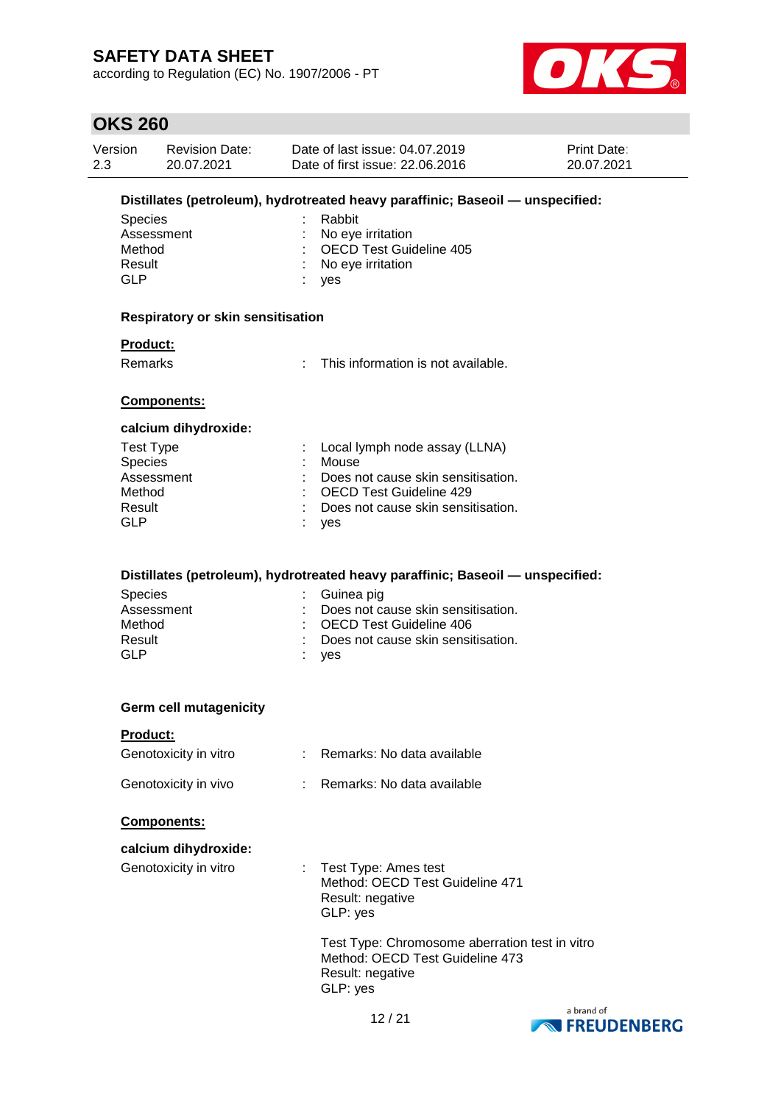according to Regulation (EC) No. 1907/2006 - PT



### **OKS 260**

| Version | <b>Revision Date:</b> | Date of last issue: 04.07.2019  | <b>Print Date:</b> |
|---------|-----------------------|---------------------------------|--------------------|
| 2.3     | 20.07.2021            | Date of first issue: 22,06,2016 | 20.07.2021         |

### **Distillates (petroleum), hydrotreated heavy paraffinic; Baseoil — unspecified:**

| Species    | : Rabbit                  |
|------------|---------------------------|
| Assessment | : No eye irritation       |
| Method     | : OECD Test Guideline 405 |
| Result     | : No eye irritation       |
| GI P       | : yes                     |

#### **Respiratory or skin sensitisation**

### **Product:**

Remarks : This information is not available.

#### **Components:**

#### **calcium dihydroxide:**

| Test Type      | : Local lymph node assay (LLNA)    |
|----------------|------------------------------------|
| <b>Species</b> | Mouse                              |
| Assessment     | Does not cause skin sensitisation. |
| Method         | : OECD Test Guideline 429          |
| Result         | Does not cause skin sensitisation. |
| GLP            | : yes                              |

#### **Distillates (petroleum), hydrotreated heavy paraffinic; Baseoil — unspecified:**

| <b>Species</b> | : Guinea pig                         |
|----------------|--------------------------------------|
| Assessment     | : Does not cause skin sensitisation. |
| Method         | : OECD Test Guideline 406            |
| Result         | : Does not cause skin sensitisation. |
| GI P           | yes                                  |

#### **Germ cell mutagenicity**

#### **Product:**

| Genotoxicity in vitro | Remarks: No data available |
|-----------------------|----------------------------|
| Genotoxicity in vivo  | Remarks: No data available |

#### **Components:**

| calcium dihydroxide:  |                                                                                                       |
|-----------------------|-------------------------------------------------------------------------------------------------------|
| Genotoxicity in vitro | : Test Type: Ames test<br>Method: OECD Test Guideline 471<br>Result: negative<br>GLP: yes             |
|                       | Test Type: Chromosome aberration test in vitro<br>Method: OECD Test Guideline 473<br>Result: negative |

GLP: yes

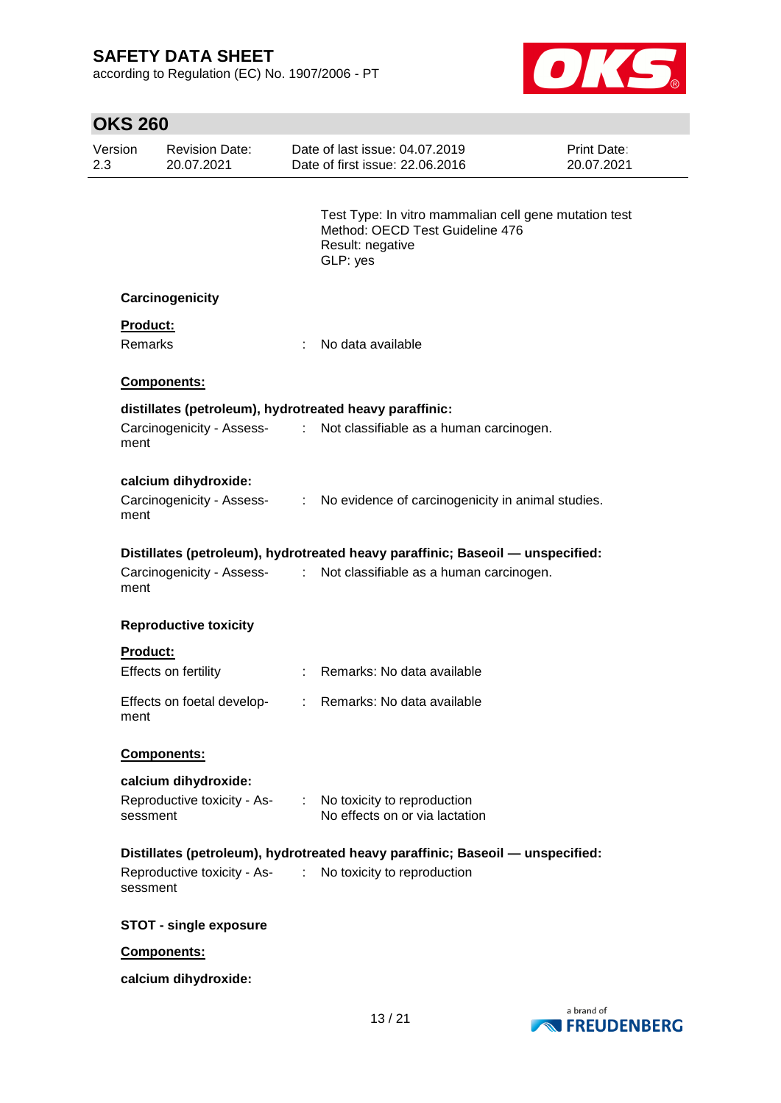according to Regulation (EC) No. 1907/2006 - PT



| <b>OKS 260</b> |                                                         |               |                                                                                                                          |                                  |
|----------------|---------------------------------------------------------|---------------|--------------------------------------------------------------------------------------------------------------------------|----------------------------------|
| Version<br>2.3 | <b>Revision Date:</b><br>20.07.2021                     |               | Date of last issue: 04.07.2019<br>Date of first issue: 22.06.2016                                                        | <b>Print Date:</b><br>20.07.2021 |
|                |                                                         |               | Test Type: In vitro mammalian cell gene mutation test<br>Method: OECD Test Guideline 476<br>Result: negative<br>GLP: yes |                                  |
|                | Carcinogenicity                                         |               |                                                                                                                          |                                  |
|                | <b>Product:</b>                                         |               |                                                                                                                          |                                  |
|                | <b>Remarks</b>                                          | ÷             | No data available                                                                                                        |                                  |
|                | Components:                                             |               |                                                                                                                          |                                  |
|                | distillates (petroleum), hydrotreated heavy paraffinic: |               |                                                                                                                          |                                  |
| ment           |                                                         |               | Carcinogenicity - Assess- : Not classifiable as a human carcinogen.                                                      |                                  |
|                | calcium dihydroxide:                                    |               |                                                                                                                          |                                  |
| ment           |                                                         |               | Carcinogenicity - Assess- : No evidence of carcinogenicity in animal studies.                                            |                                  |
|                |                                                         |               | Distillates (petroleum), hydrotreated heavy paraffinic; Baseoil - unspecified:                                           |                                  |
| ment           | Carcinogenicity - Assess-                               |               | : Not classifiable as a human carcinogen.                                                                                |                                  |
|                | <b>Reproductive toxicity</b>                            |               |                                                                                                                          |                                  |
|                | <b>Product:</b>                                         |               |                                                                                                                          |                                  |
|                | Effects on fertility                                    |               | : Remarks: No data available                                                                                             |                                  |
| ment           | Effects on foetal develop-                              | $\mathcal{L}$ | Remarks: No data available                                                                                               |                                  |
|                | Components:                                             |               |                                                                                                                          |                                  |
|                | calcium dihydroxide:                                    |               |                                                                                                                          |                                  |
|                | Reproductive toxicity - As-<br>sessment                 |               | : No toxicity to reproduction<br>No effects on or via lactation                                                          |                                  |
|                |                                                         |               | Distillates (petroleum), hydrotreated heavy paraffinic; Baseoil - unspecified:                                           |                                  |
|                | sessment                                                |               | Reproductive toxicity - As- : No toxicity to reproduction                                                                |                                  |
|                | <b>STOT - single exposure</b>                           |               |                                                                                                                          |                                  |
|                | Components:                                             |               |                                                                                                                          |                                  |
|                | calcium dihydroxide:                                    |               |                                                                                                                          |                                  |

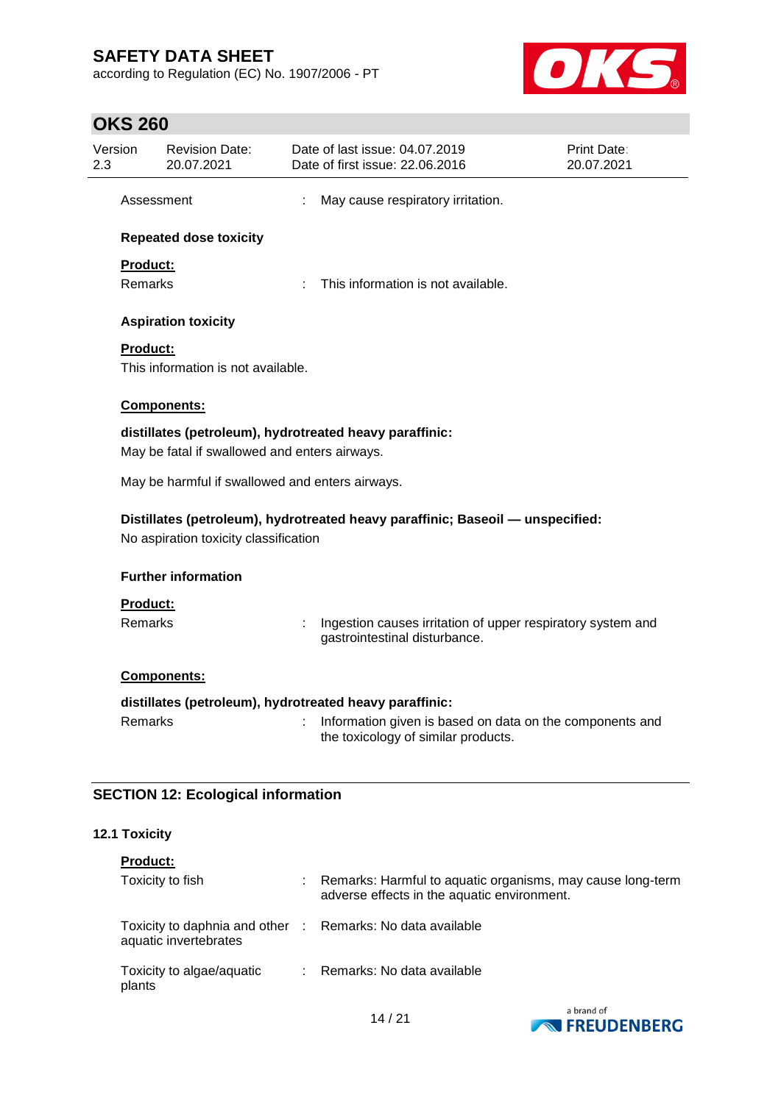according to Regulation (EC) No. 1907/2006 - PT



# **OKS 260**

|                                                                                                                                   | Version<br><b>Revision Date:</b><br>20.07.2021 | Date of last issue: 04.07.2019<br>Date of first issue: 22.06.2016                               | Print Date:<br>20.07.2021 |  |  |
|-----------------------------------------------------------------------------------------------------------------------------------|------------------------------------------------|-------------------------------------------------------------------------------------------------|---------------------------|--|--|
| Assessment                                                                                                                        |                                                | May cause respiratory irritation.                                                               |                           |  |  |
|                                                                                                                                   | <b>Repeated dose toxicity</b>                  |                                                                                                 |                           |  |  |
|                                                                                                                                   | Product:                                       |                                                                                                 |                           |  |  |
|                                                                                                                                   | <b>Remarks</b>                                 | This information is not available.                                                              |                           |  |  |
|                                                                                                                                   | <b>Aspiration toxicity</b>                     |                                                                                                 |                           |  |  |
|                                                                                                                                   | <b>Product:</b>                                |                                                                                                 |                           |  |  |
|                                                                                                                                   | This information is not available.             |                                                                                                 |                           |  |  |
|                                                                                                                                   | Components:                                    |                                                                                                 |                           |  |  |
| distillates (petroleum), hydrotreated heavy paraffinic:                                                                           |                                                |                                                                                                 |                           |  |  |
|                                                                                                                                   | May be fatal if swallowed and enters airways.  |                                                                                                 |                           |  |  |
| May be harmful if swallowed and enters airways.<br>Distillates (petroleum), hydrotreated heavy paraffinic; Baseoil - unspecified: |                                                |                                                                                                 |                           |  |  |
|                                                                                                                                   | No aspiration toxicity classification          |                                                                                                 |                           |  |  |
|                                                                                                                                   | <b>Further information</b>                     |                                                                                                 |                           |  |  |
|                                                                                                                                   |                                                |                                                                                                 |                           |  |  |
|                                                                                                                                   | <b>Product:</b>                                |                                                                                                 |                           |  |  |
|                                                                                                                                   | <b>Remarks</b>                                 | Ingestion causes irritation of upper respiratory system and<br>gastrointestinal disturbance.    |                           |  |  |
|                                                                                                                                   | Components:                                    |                                                                                                 |                           |  |  |
|                                                                                                                                   |                                                | distillates (petroleum), hydrotreated heavy paraffinic:                                         |                           |  |  |
|                                                                                                                                   | Remarks                                        | Information given is based on data on the components and<br>the toxicology of similar products. |                           |  |  |

### **12.1 Toxicity**

| <b>Product:</b>                                                                     |                                                                                                           |
|-------------------------------------------------------------------------------------|-----------------------------------------------------------------------------------------------------------|
| Toxicity to fish                                                                    | Remarks: Harmful to aquatic organisms, may cause long-term<br>adverse effects in the aquatic environment. |
| Toxicity to daphnia and other : Remarks: No data available<br>aquatic invertebrates |                                                                                                           |
| Toxicity to algae/aquatic<br>plants                                                 | Remarks: No data available                                                                                |

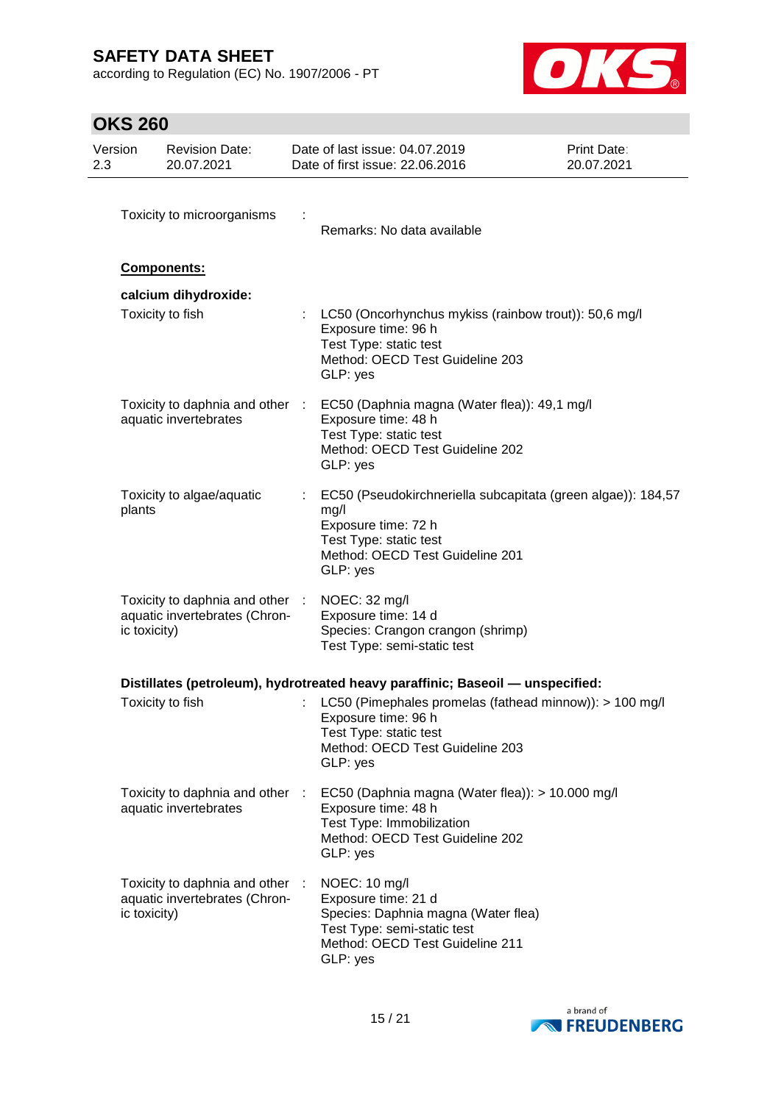according to Regulation (EC) No. 1907/2006 - PT



# **OKS 260**

| Version<br>2.3 |              | <b>Revision Date:</b><br>20.07.2021                              |   | Date of last issue: 04.07.2019<br>Date of first issue: 22.06.2016                                                                                                            | <b>Print Date:</b><br>20.07.2021 |
|----------------|--------------|------------------------------------------------------------------|---|------------------------------------------------------------------------------------------------------------------------------------------------------------------------------|----------------------------------|
|                |              | Toxicity to microorganisms                                       |   | Remarks: No data available                                                                                                                                                   |                                  |
|                |              | Components:                                                      |   |                                                                                                                                                                              |                                  |
|                |              | calcium dihydroxide:<br>Toxicity to fish                         |   | LC50 (Oncorhynchus mykiss (rainbow trout)): 50,6 mg/l<br>Exposure time: 96 h<br>Test Type: static test<br>Method: OECD Test Guideline 203<br>GLP: yes                        |                                  |
|                |              | aquatic invertebrates                                            |   | Toxicity to daphnia and other : EC50 (Daphnia magna (Water flea)): 49,1 mg/l<br>Exposure time: 48 h<br>Test Type: static test<br>Method: OECD Test Guideline 202<br>GLP: yes |                                  |
|                | plants       | Toxicity to algae/aquatic                                        |   | EC50 (Pseudokirchneriella subcapitata (green algae)): 184,57<br>mg/l<br>Exposure time: 72 h<br>Test Type: static test<br>Method: OECD Test Guideline 201<br>GLP: yes         |                                  |
|                | ic toxicity) | Toxicity to daphnia and other :<br>aquatic invertebrates (Chron- |   | NOEC: 32 mg/l<br>Exposure time: 14 d<br>Species: Crangon crangon (shrimp)<br>Test Type: semi-static test                                                                     |                                  |
|                |              |                                                                  |   | Distillates (petroleum), hydrotreated heavy paraffinic; Baseoil — unspecified:                                                                                               |                                  |
|                |              | Toxicity to fish                                                 |   | LC50 (Pimephales promelas (fathead minnow)): > 100 mg/l<br>Exposure time: 96 h<br>Test Type: static test<br>Method: OECD Test Guideline 203<br>GLP: yes                      |                                  |
|                |              | Toxicity to daphnia and other :<br>aquatic invertebrates         |   | EC50 (Daphnia magna (Water flea)): > 10.000 mg/l<br>Exposure time: 48 h<br>Test Type: Immobilization<br>Method: OECD Test Guideline 202<br>GLP: yes                          |                                  |
|                | ic toxicity) | Toxicity to daphnia and other<br>aquatic invertebrates (Chron-   | ÷ | NOEC: 10 mg/l<br>Exposure time: 21 d<br>Species: Daphnia magna (Water flea)<br>Test Type: semi-static test<br>Method: OECD Test Guideline 211<br>GLP: yes                    |                                  |

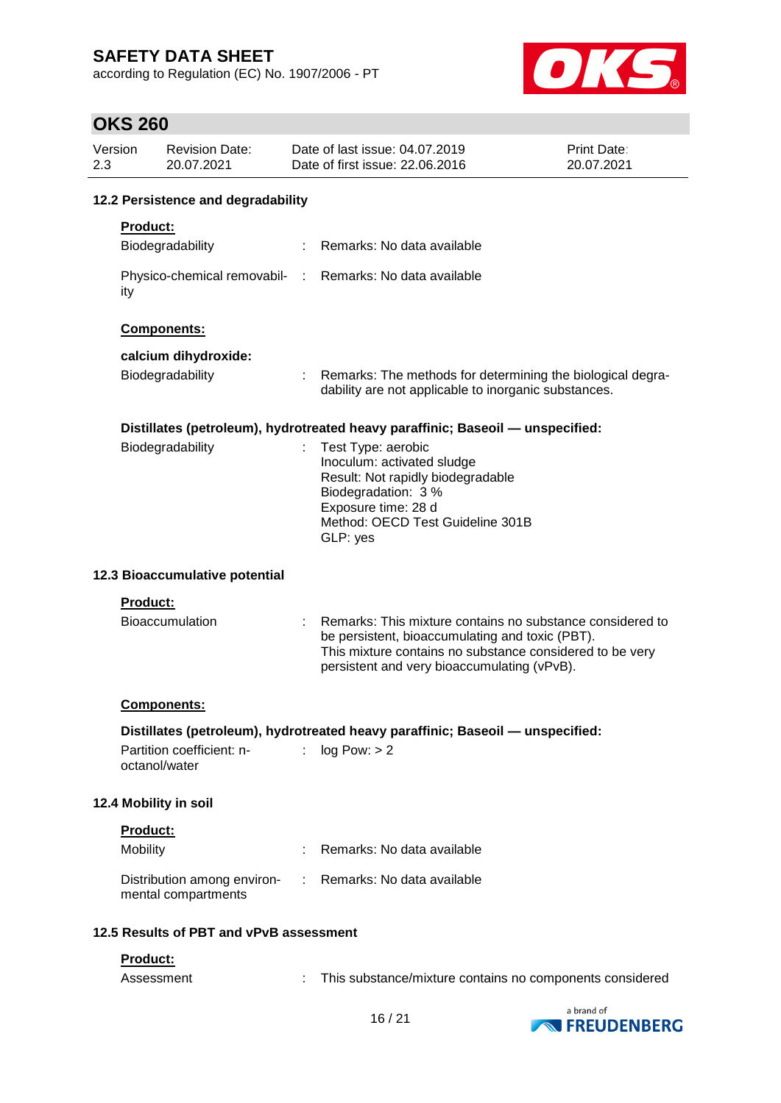according to Regulation (EC) No. 1907/2006 - PT



### **OKS 260**

| Version<br>2.3 |            | <b>Revision Date:</b><br>20.07.2021                | Date of last issue: 04.07.2019<br>Print Date:<br>Date of first issue: 22.06.2016<br>20.07.2021 |                                                                                                                                                                                                                         |            |
|----------------|------------|----------------------------------------------------|------------------------------------------------------------------------------------------------|-------------------------------------------------------------------------------------------------------------------------------------------------------------------------------------------------------------------------|------------|
|                |            | 12.2 Persistence and degradability                 |                                                                                                |                                                                                                                                                                                                                         |            |
|                | Product:   |                                                    |                                                                                                |                                                                                                                                                                                                                         |            |
|                |            | Biodegradability                                   |                                                                                                | Remarks: No data available                                                                                                                                                                                              |            |
|                | ity        |                                                    |                                                                                                | Physico-chemical removabil- : Remarks: No data available                                                                                                                                                                |            |
|                |            | Components:                                        |                                                                                                |                                                                                                                                                                                                                         |            |
|                |            | calcium dihydroxide:                               |                                                                                                |                                                                                                                                                                                                                         |            |
|                |            | Biodegradability                                   |                                                                                                | Remarks: The methods for determining the biological degra-<br>dability are not applicable to inorganic substances.                                                                                                      |            |
|                |            |                                                    |                                                                                                | Distillates (petroleum), hydrotreated heavy paraffinic; Baseoil - unspecified:                                                                                                                                          |            |
|                |            | Biodegradability                                   | ÷                                                                                              | Test Type: aerobic<br>Inoculum: activated sludge<br>Result: Not rapidly biodegradable<br>Biodegradation: 3 %<br>Exposure time: 28 d<br>Method: OECD Test Guideline 301B<br>GLP: yes                                     |            |
|                |            | 12.3 Bioaccumulative potential                     |                                                                                                |                                                                                                                                                                                                                         |            |
|                | Product:   |                                                    |                                                                                                |                                                                                                                                                                                                                         |            |
|                |            | <b>Bioaccumulation</b>                             |                                                                                                | Remarks: This mixture contains no substance considered to<br>be persistent, bioaccumulating and toxic (PBT).<br>This mixture contains no substance considered to be very<br>persistent and very bioaccumulating (vPvB). |            |
|                |            | <b>Components:</b>                                 |                                                                                                |                                                                                                                                                                                                                         |            |
|                |            |                                                    |                                                                                                | Distillates (petroleum), hydrotreated heavy paraffinic; Baseoil - unspecified:                                                                                                                                          |            |
|                |            | Partition coefficient: n-<br>octanol/water         | ÷                                                                                              | log Pow: > 2                                                                                                                                                                                                            |            |
|                |            | 12.4 Mobility in soil                              |                                                                                                |                                                                                                                                                                                                                         |            |
|                | Product:   |                                                    |                                                                                                |                                                                                                                                                                                                                         |            |
|                | Mobility   |                                                    |                                                                                                | Remarks: No data available                                                                                                                                                                                              |            |
|                |            | Distribution among environ-<br>mental compartments |                                                                                                | Remarks: No data available                                                                                                                                                                                              |            |
|                |            | 12.5 Results of PBT and vPvB assessment            |                                                                                                |                                                                                                                                                                                                                         |            |
|                | Product:   |                                                    |                                                                                                |                                                                                                                                                                                                                         |            |
|                | Assessment |                                                    |                                                                                                | This substance/mixture contains no components considered                                                                                                                                                                |            |
|                |            |                                                    |                                                                                                |                                                                                                                                                                                                                         | a hrand of |

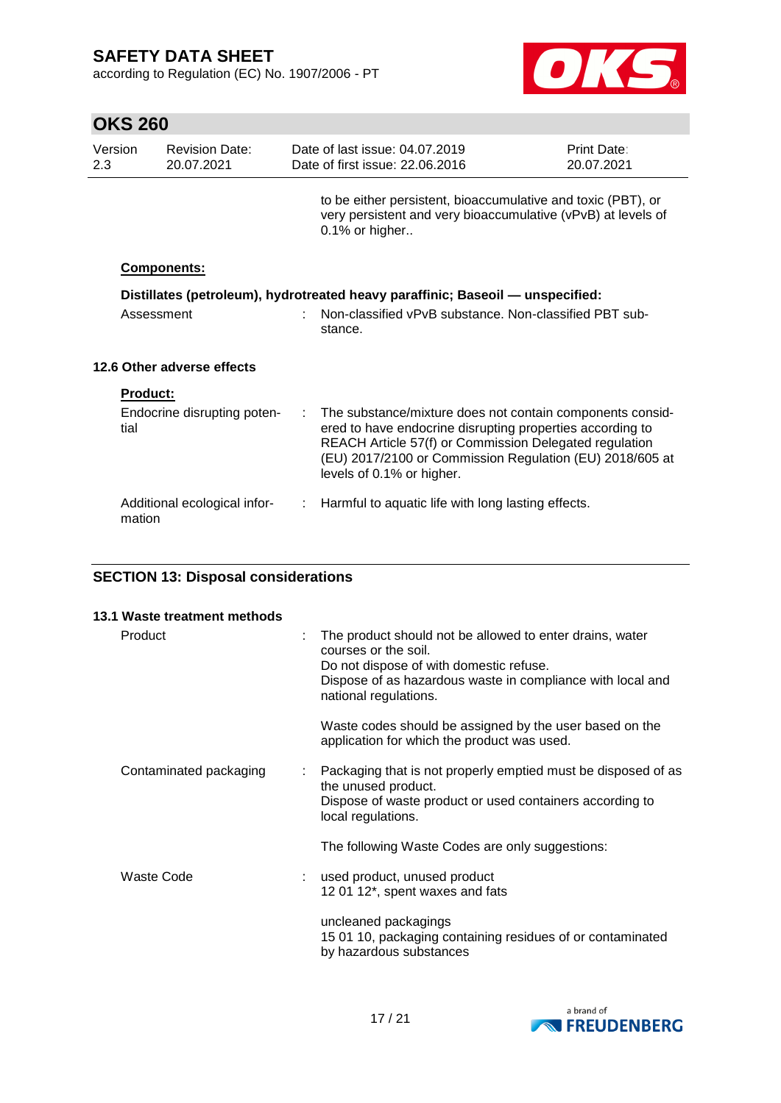according to Regulation (EC) No. 1907/2006 - PT



| <b>OKS 260</b>  |                                     |                                                                                                                                          |                                                                                                                                                                                                                                                                           |                                  |
|-----------------|-------------------------------------|------------------------------------------------------------------------------------------------------------------------------------------|---------------------------------------------------------------------------------------------------------------------------------------------------------------------------------------------------------------------------------------------------------------------------|----------------------------------|
| Version<br>2.3  | <b>Revision Date:</b><br>20.07.2021 |                                                                                                                                          | Date of last issue: 04.07.2019<br>Date of first issue: 22.06.2016                                                                                                                                                                                                         | <b>Print Date:</b><br>20.07.2021 |
|                 |                                     |                                                                                                                                          | to be either persistent, bioaccumulative and toxic (PBT), or<br>very persistent and very bioaccumulative (vPvB) at levels of<br>0.1% or higher                                                                                                                            |                                  |
|                 | <b>Components:</b>                  |                                                                                                                                          |                                                                                                                                                                                                                                                                           |                                  |
|                 | Assessment                          | Distillates (petroleum), hydrotreated heavy paraffinic; Baseoil - unspecified:<br>Non-classified vPvB substance. Non-classified PBT sub- |                                                                                                                                                                                                                                                                           |                                  |
|                 |                                     |                                                                                                                                          | stance.                                                                                                                                                                                                                                                                   |                                  |
|                 | 12.6 Other adverse effects          |                                                                                                                                          |                                                                                                                                                                                                                                                                           |                                  |
| <b>Product:</b> |                                     |                                                                                                                                          |                                                                                                                                                                                                                                                                           |                                  |
| tial            | Endocrine disrupting poten-         | ÷                                                                                                                                        | The substance/mixture does not contain components consid-<br>ered to have endocrine disrupting properties according to<br>REACH Article 57(f) or Commission Delegated regulation<br>(EU) 2017/2100 or Commission Regulation (EU) 2018/605 at<br>levels of 0.1% or higher. |                                  |
| mation          | Additional ecological infor-        |                                                                                                                                          | Harmful to aquatic life with long lasting effects.                                                                                                                                                                                                                        |                                  |

### **SECTION 13: Disposal considerations**

| 13.1 Waste treatment methods |                                                                                                                                                                                                                    |
|------------------------------|--------------------------------------------------------------------------------------------------------------------------------------------------------------------------------------------------------------------|
| Product                      | The product should not be allowed to enter drains, water<br>courses or the soil.<br>Do not dispose of with domestic refuse.<br>Dispose of as hazardous waste in compliance with local and<br>national regulations. |
|                              | Waste codes should be assigned by the user based on the<br>application for which the product was used.                                                                                                             |
| Contaminated packaging       | Packaging that is not properly emptied must be disposed of as<br>the unused product.<br>Dispose of waste product or used containers according to<br>local regulations.                                             |
|                              | The following Waste Codes are only suggestions:                                                                                                                                                                    |
| Waste Code                   | used product, unused product<br>12 01 12*, spent waxes and fats                                                                                                                                                    |
|                              | uncleaned packagings<br>15 01 10, packaging containing residues of or contaminated<br>by hazardous substances                                                                                                      |

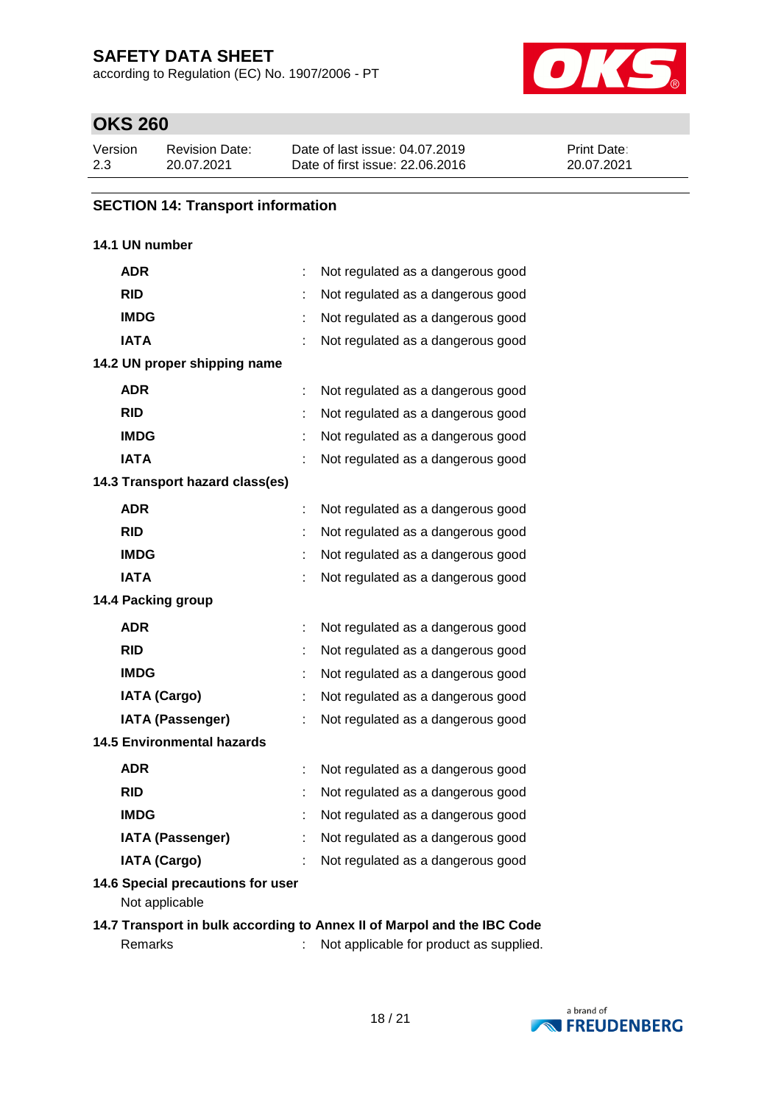according to Regulation (EC) No. 1907/2006 - PT



# **OKS 260**

| Version | <b>Revision Date:</b> | Date of last issue: 04.07.2019  | <b>Print Date:</b> |
|---------|-----------------------|---------------------------------|--------------------|
| 2.3     | 20.07.2021            | Date of first issue: 22,06,2016 | 20.07.2021         |

### **SECTION 14: Transport information**

### **14.1 UN number**

| ADR                                                 |   | Not regulated as a dangerous good                                      |
|-----------------------------------------------------|---|------------------------------------------------------------------------|
| <b>RID</b>                                          |   | Not regulated as a dangerous good                                      |
| <b>IMDG</b>                                         |   | Not regulated as a dangerous good                                      |
| <b>IATA</b>                                         |   | Not regulated as a dangerous good                                      |
| 14.2 UN proper shipping name                        |   |                                                                        |
| <b>ADR</b>                                          | ÷ | Not regulated as a dangerous good                                      |
| <b>RID</b>                                          |   | Not regulated as a dangerous good                                      |
| <b>IMDG</b>                                         |   | Not regulated as a dangerous good                                      |
| <b>IATA</b>                                         |   | Not regulated as a dangerous good                                      |
| 14.3 Transport hazard class(es)                     |   |                                                                        |
| <b>ADR</b>                                          | ÷ | Not regulated as a dangerous good                                      |
| <b>RID</b>                                          |   | Not regulated as a dangerous good                                      |
| <b>IMDG</b>                                         |   | Not regulated as a dangerous good                                      |
| <b>IATA</b>                                         |   | Not regulated as a dangerous good                                      |
| 14.4 Packing group                                  |   |                                                                        |
| <b>ADR</b>                                          |   | Not regulated as a dangerous good                                      |
| <b>RID</b>                                          |   | Not regulated as a dangerous good                                      |
| <b>IMDG</b>                                         |   | Not regulated as a dangerous good                                      |
| <b>IATA (Cargo)</b>                                 |   | Not regulated as a dangerous good                                      |
| <b>IATA (Passenger)</b>                             |   | Not regulated as a dangerous good                                      |
| <b>14.5 Environmental hazards</b>                   |   |                                                                        |
| <b>ADR</b>                                          |   | Not regulated as a dangerous good                                      |
| <b>RID</b>                                          |   | Not regulated as a dangerous good                                      |
| <b>IMDG</b>                                         |   | Not regulated as a dangerous good                                      |
| <b>IATA (Passenger)</b>                             |   | Not regulated as a dangerous good                                      |
| <b>IATA (Cargo)</b>                                 |   | Not regulated as a dangerous good                                      |
| 14.6 Special precautions for user<br>Not applicable |   |                                                                        |
|                                                     |   | 14.7 Transport in bulk according to Annox II of Marpel and the IRC Ced |

#### **14.7 Transport in bulk according to Annex II of Marpol and the IBC Code** Remarks : Not applicable for product as supplied.

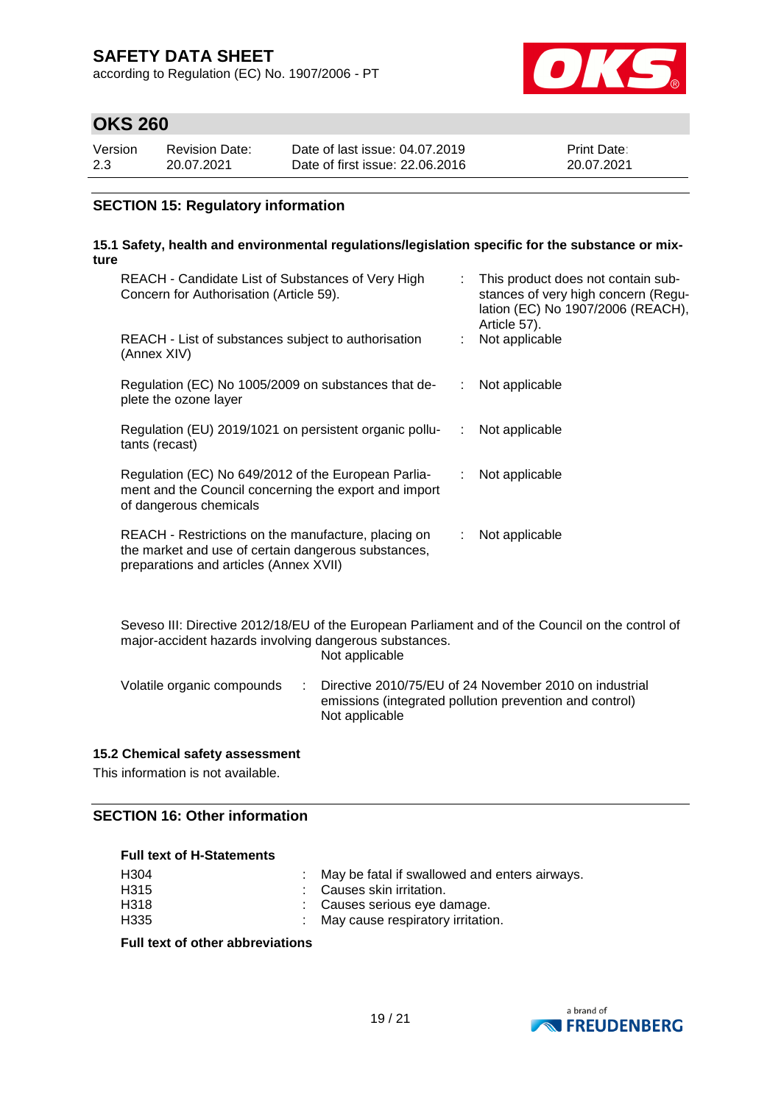according to Regulation (EC) No. 1907/2006 - PT



### **OKS 260**

| Version | Revision Date: | Date of last issue: 04.07.2019  | <b>Print Date:</b> |
|---------|----------------|---------------------------------|--------------------|
| 2.3     | 20.07.2021     | Date of first issue: 22,06,2016 | 20.07.2021         |

### **SECTION 15: Regulatory information**

#### **15.1 Safety, health and environmental regulations/legislation specific for the substance or mixture**

| REACH - Candidate List of Substances of Very High<br>Concern for Authorisation (Article 59).                                                         |    | : This product does not contain sub-<br>stances of very high concern (Regu-<br>lation (EC) No 1907/2006 (REACH),<br>Article 57). |
|------------------------------------------------------------------------------------------------------------------------------------------------------|----|----------------------------------------------------------------------------------------------------------------------------------|
| REACH - List of substances subject to authorisation<br>(Annex XIV)                                                                                   |    | Not applicable                                                                                                                   |
| Regulation (EC) No 1005/2009 on substances that de-<br>plete the ozone layer                                                                         | ÷. | Not applicable                                                                                                                   |
| Regulation (EU) 2019/1021 on persistent organic pollu-<br>tants (recast)                                                                             | ÷. | Not applicable                                                                                                                   |
| Regulation (EC) No 649/2012 of the European Parlia-<br>ment and the Council concerning the export and import<br>of dangerous chemicals               | ÷. | Not applicable                                                                                                                   |
| REACH - Restrictions on the manufacture, placing on<br>the market and use of certain dangerous substances,<br>preparations and articles (Annex XVII) |    | Not applicable                                                                                                                   |

Seveso III: Directive 2012/18/EU of the European Parliament and of the Council on the control of major-accident hazards involving dangerous substances. Not applicable

| Volatile organic compounds | : Directive 2010/75/EU of 24 November 2010 on industrial |
|----------------------------|----------------------------------------------------------|
|                            | emissions (integrated pollution prevention and control)  |
|                            | Not applicable                                           |

### **15.2 Chemical safety assessment**

This information is not available.

### **SECTION 16: Other information**

### **Full text of H-Statements**

| H304             | : May be fatal if swallowed and enters airways. |
|------------------|-------------------------------------------------|
| H <sub>315</sub> | : Causes skin irritation.                       |
| H318             | : Causes serious eye damage.                    |
| H335             | : May cause respiratory irritation.             |

#### **Full text of other abbreviations**

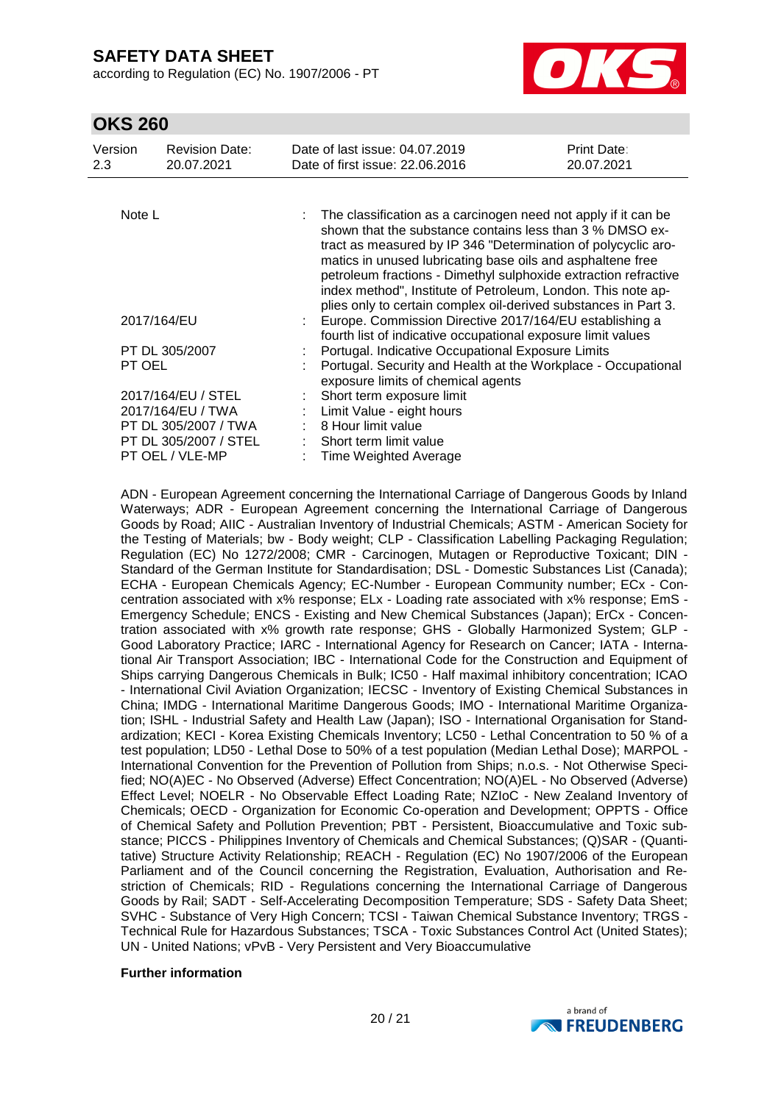according to Regulation (EC) No. 1907/2006 - PT



### **OKS 260**

| Version<br>2.3                            | <b>Revision Date:</b><br>20.07.2021 |  | Date of last issue: 04.07.2019<br>Date of first issue: 22.06.2016                                                                                                                                                                                                                                                                                                                                                                                               | Print Date:<br>20.07.2021 |  |
|-------------------------------------------|-------------------------------------|--|-----------------------------------------------------------------------------------------------------------------------------------------------------------------------------------------------------------------------------------------------------------------------------------------------------------------------------------------------------------------------------------------------------------------------------------------------------------------|---------------------------|--|
|                                           |                                     |  |                                                                                                                                                                                                                                                                                                                                                                                                                                                                 |                           |  |
| Note L                                    |                                     |  | The classification as a carcinogen need not apply if it can be<br>shown that the substance contains less than 3 % DMSO ex-<br>tract as measured by IP 346 "Determination of polycyclic aro-<br>matics in unused lubricating base oils and asphaltene free<br>petroleum fractions - Dimethyl sulphoxide extraction refractive<br>index method", Institute of Petroleum, London. This note ap-<br>plies only to certain complex oil-derived substances in Part 3. |                           |  |
| 2017/164/EU                               |                                     |  | Europe. Commission Directive 2017/164/EU establishing a<br>fourth list of indicative occupational exposure limit values                                                                                                                                                                                                                                                                                                                                         |                           |  |
| PT DL 305/2007                            |                                     |  | Portugal. Indicative Occupational Exposure Limits                                                                                                                                                                                                                                                                                                                                                                                                               |                           |  |
| PT OEL                                    |                                     |  | Portugal. Security and Health at the Workplace - Occupational<br>exposure limits of chemical agents<br>Short term exposure limit<br>Limit Value - eight hours<br>8 Hour limit value                                                                                                                                                                                                                                                                             |                           |  |
| 2017/164/EU / STEL                        |                                     |  |                                                                                                                                                                                                                                                                                                                                                                                                                                                                 |                           |  |
| 2017/164/EU / TWA<br>PT DL 305/2007 / TWA |                                     |  |                                                                                                                                                                                                                                                                                                                                                                                                                                                                 |                           |  |
| PT DL 305/2007 / STEL                     |                                     |  | Short term limit value<br>Time Weighted Average                                                                                                                                                                                                                                                                                                                                                                                                                 |                           |  |
| PT OEL / VLE-MP                           |                                     |  |                                                                                                                                                                                                                                                                                                                                                                                                                                                                 |                           |  |

ADN - European Agreement concerning the International Carriage of Dangerous Goods by Inland Waterways; ADR - European Agreement concerning the International Carriage of Dangerous Goods by Road; AIIC - Australian Inventory of Industrial Chemicals; ASTM - American Society for the Testing of Materials; bw - Body weight; CLP - Classification Labelling Packaging Regulation; Regulation (EC) No 1272/2008; CMR - Carcinogen, Mutagen or Reproductive Toxicant; DIN - Standard of the German Institute for Standardisation; DSL - Domestic Substances List (Canada); ECHA - European Chemicals Agency; EC-Number - European Community number; ECx - Concentration associated with x% response; ELx - Loading rate associated with x% response; EmS - Emergency Schedule; ENCS - Existing and New Chemical Substances (Japan); ErCx - Concentration associated with x% growth rate response; GHS - Globally Harmonized System; GLP - Good Laboratory Practice; IARC - International Agency for Research on Cancer; IATA - International Air Transport Association; IBC - International Code for the Construction and Equipment of Ships carrying Dangerous Chemicals in Bulk; IC50 - Half maximal inhibitory concentration; ICAO - International Civil Aviation Organization; IECSC - Inventory of Existing Chemical Substances in China; IMDG - International Maritime Dangerous Goods; IMO - International Maritime Organization; ISHL - Industrial Safety and Health Law (Japan); ISO - International Organisation for Standardization; KECI - Korea Existing Chemicals Inventory; LC50 - Lethal Concentration to 50 % of a test population; LD50 - Lethal Dose to 50% of a test population (Median Lethal Dose); MARPOL - International Convention for the Prevention of Pollution from Ships; n.o.s. - Not Otherwise Specified; NO(A)EC - No Observed (Adverse) Effect Concentration; NO(A)EL - No Observed (Adverse) Effect Level; NOELR - No Observable Effect Loading Rate; NZIoC - New Zealand Inventory of Chemicals; OECD - Organization for Economic Co-operation and Development; OPPTS - Office of Chemical Safety and Pollution Prevention; PBT - Persistent, Bioaccumulative and Toxic substance; PICCS - Philippines Inventory of Chemicals and Chemical Substances; (Q)SAR - (Quantitative) Structure Activity Relationship; REACH - Regulation (EC) No 1907/2006 of the European Parliament and of the Council concerning the Registration, Evaluation, Authorisation and Restriction of Chemicals; RID - Regulations concerning the International Carriage of Dangerous Goods by Rail; SADT - Self-Accelerating Decomposition Temperature; SDS - Safety Data Sheet; SVHC - Substance of Very High Concern; TCSI - Taiwan Chemical Substance Inventory; TRGS - Technical Rule for Hazardous Substances; TSCA - Toxic Substances Control Act (United States); UN - United Nations; vPvB - Very Persistent and Very Bioaccumulative

#### **Further information**